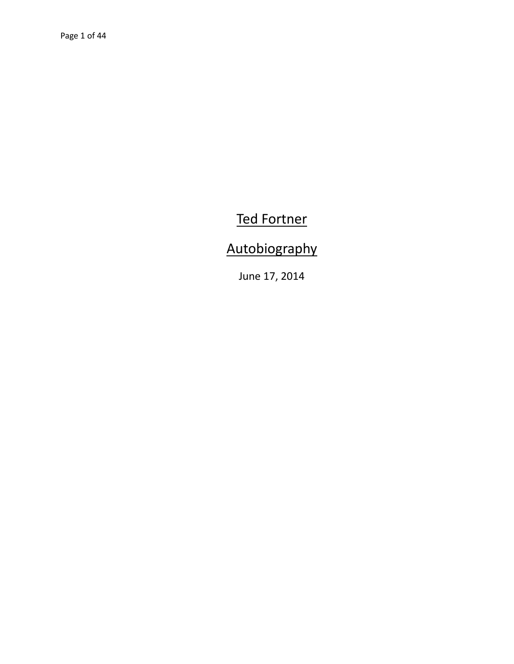## Ted Fortner

## Autobiography

June 17, 2014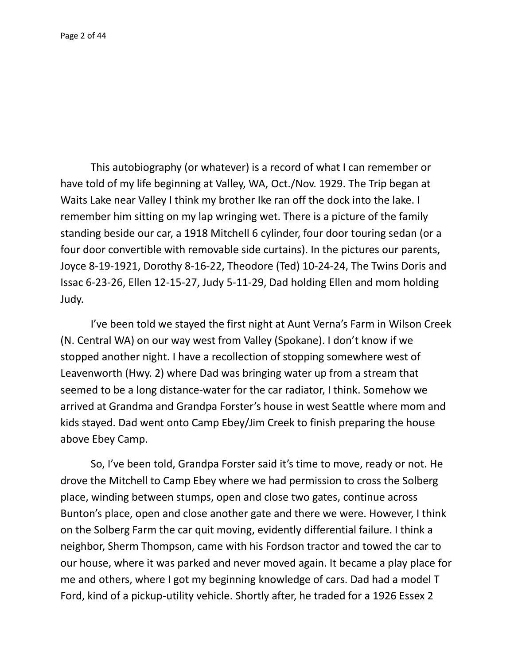This autobiography (or whatever) is a record of what I can remember or have told of my life beginning at Valley, WA, Oct./Nov. 1929. The Trip began at Waits Lake near Valley I think my brother Ike ran off the dock into the lake. I remember him sitting on my lap wringing wet. There is a picture of the family standing beside our car, a 1918 Mitchell 6 cylinder, four door touring sedan (or a four door convertible with removable side curtains). In the pictures our parents, Joyce 8-19-1921, Dorothy 8-16-22, Theodore (Ted) 10-24-24, The Twins Doris and Issac 6-23-26, Ellen 12-15-27, Judy 5-11-29, Dad holding Ellen and mom holding Judy.

I've been told we stayed the first night at Aunt Verna's Farm in Wilson Creek (N. Central WA) on our way west from Valley (Spokane). I don't know if we stopped another night. I have a recollection of stopping somewhere west of Leavenworth (Hwy. 2) where Dad was bringing water up from a stream that seemed to be a long distance-water for the car radiator, I think. Somehow we arrived at Grandma and Grandpa Forster's house in west Seattle where mom and kids stayed. Dad went onto Camp Ebey/Jim Creek to finish preparing the house above Ebey Camp.

So, I've been told, Grandpa Forster said it's time to move, ready or not. He drove the Mitchell to Camp Ebey where we had permission to cross the Solberg place, winding between stumps, open and close two gates, continue across Bunton's place, open and close another gate and there we were. However, I think on the Solberg Farm the car quit moving, evidently differential failure. I think a neighbor, Sherm Thompson, came with his Fordson tractor and towed the car to our house, where it was parked and never moved again. It became a play place for me and others, where I got my beginning knowledge of cars. Dad had a model T Ford, kind of a pickup-utility vehicle. Shortly after, he traded for a 1926 Essex 2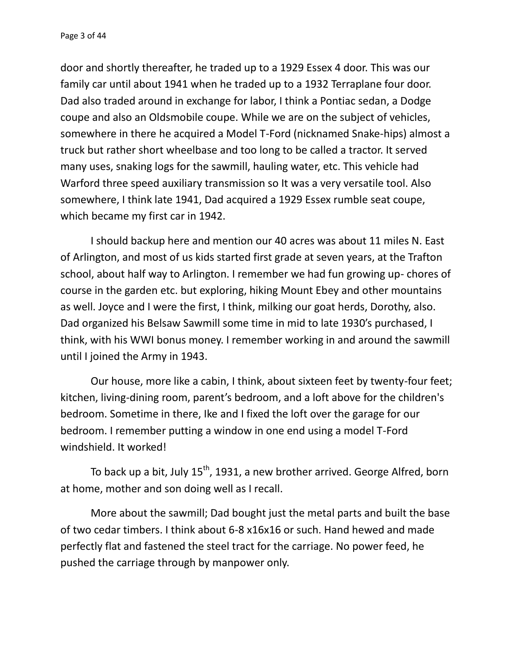door and shortly thereafter, he traded up to a 1929 Essex 4 door. This was our family car until about 1941 when he traded up to a 1932 Terraplane four door. Dad also traded around in exchange for labor, I think a Pontiac sedan, a Dodge coupe and also an Oldsmobile coupe. While we are on the subject of vehicles, somewhere in there he acquired a Model T-Ford (nicknamed Snake-hips) almost a truck but rather short wheelbase and too long to be called a tractor. It served many uses, snaking logs for the sawmill, hauling water, etc. This vehicle had Warford three speed auxiliary transmission so It was a very versatile tool. Also somewhere, I think late 1941, Dad acquired a 1929 Essex rumble seat coupe, which became my first car in 1942.

I should backup here and mention our 40 acres was about 11 miles N. East of Arlington, and most of us kids started first grade at seven years, at the Trafton school, about half way to Arlington. I remember we had fun growing up- chores of course in the garden etc. but exploring, hiking Mount Ebey and other mountains as well. Joyce and I were the first, I think, milking our goat herds, Dorothy, also. Dad organized his Belsaw Sawmill some time in mid to late 1930's purchased, I think, with his WWI bonus money. I remember working in and around the sawmill until I joined the Army in 1943.

Our house, more like a cabin, I think, about sixteen feet by twenty-four feet; kitchen, living-dining room, parent's bedroom, and a loft above for the children's bedroom. Sometime in there, Ike and I fixed the loft over the garage for our bedroom. I remember putting a window in one end using a model T-Ford windshield. It worked!

To back up a bit, July  $15^{th}$ , 1931, a new brother arrived. George Alfred, born at home, mother and son doing well as I recall.

More about the sawmill; Dad bought just the metal parts and built the base of two cedar timbers. I think about 6-8 x16x16 or such. Hand hewed and made perfectly flat and fastened the steel tract for the carriage. No power feed, he pushed the carriage through by manpower only.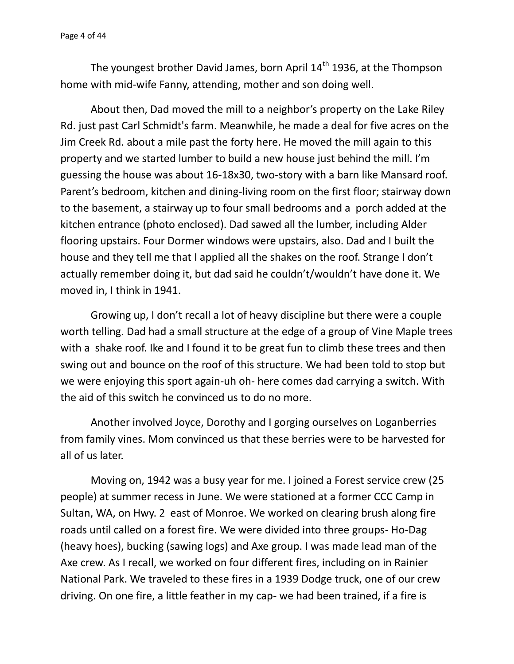The youngest brother David James, born April  $14<sup>th</sup>$  1936, at the Thompson home with mid-wife Fanny, attending, mother and son doing well.

About then, Dad moved the mill to a neighbor's property on the Lake Riley Rd. just past Carl Schmidt's farm. Meanwhile, he made a deal for five acres on the Jim Creek Rd. about a mile past the forty here. He moved the mill again to this property and we started lumber to build a new house just behind the mill. I'm guessing the house was about 16-18x30, two-story with a barn like Mansard roof. Parent's bedroom, kitchen and dining-living room on the first floor; stairway down to the basement, a stairway up to four small bedrooms and a porch added at the kitchen entrance (photo enclosed). Dad sawed all the lumber, including Alder flooring upstairs. Four Dormer windows were upstairs, also. Dad and I built the house and they tell me that I applied all the shakes on the roof. Strange I don't actually remember doing it, but dad said he couldn't/wouldn't have done it. We moved in, I think in 1941.

Growing up, I don't recall a lot of heavy discipline but there were a couple worth telling. Dad had a small structure at the edge of a group of Vine Maple trees with a shake roof. Ike and I found it to be great fun to climb these trees and then swing out and bounce on the roof of this structure. We had been told to stop but we were enjoying this sport again-uh oh- here comes dad carrying a switch. With the aid of this switch he convinced us to do no more.

Another involved Joyce, Dorothy and I gorging ourselves on Loganberries from family vines. Mom convinced us that these berries were to be harvested for all of us later.

Moving on, 1942 was a busy year for me. I joined a Forest service crew (25 people) at summer recess in June. We were stationed at a former CCC Camp in Sultan, WA, on Hwy. 2 east of Monroe. We worked on clearing brush along fire roads until called on a forest fire. We were divided into three groups- Ho-Dag (heavy hoes), bucking (sawing logs) and Axe group. I was made lead man of the Axe crew. As I recall, we worked on four different fires, including on in Rainier National Park. We traveled to these fires in a 1939 Dodge truck, one of our crew driving. On one fire, a little feather in my cap- we had been trained, if a fire is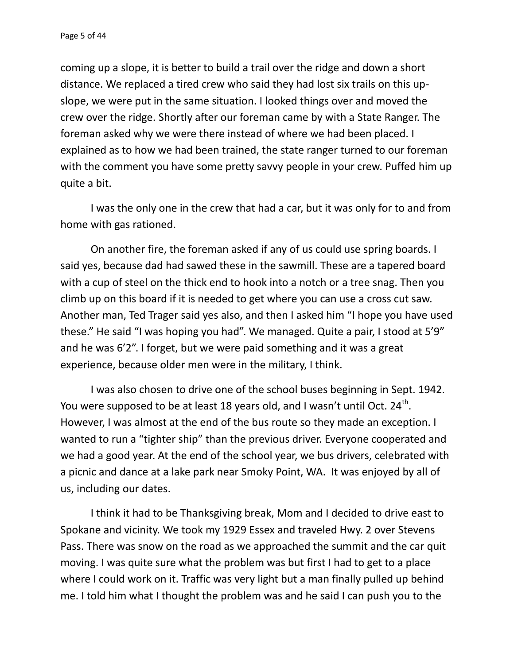coming up a slope, it is better to build a trail over the ridge and down a short distance. We replaced a tired crew who said they had lost six trails on this up slope, we were put in the same situation. I looked things over and moved the crew over the ridge. Shortly after our foreman came by with a State Ranger. The foreman asked why we were there instead of where we had been placed. I explained as to how we had been trained, the state ranger turned to our foreman with the comment you have some pretty savvy people in your crew. Puffed him up quite a bit.

I was the only one in the crew that had a car, but it was only for to and from home with gas rationed.

On another fire, the foreman asked if any of us could use spring boards. I said yes, because dad had sawed these in the sawmill. These are a tapered board with a cup of steel on the thick end to hook into a notch or a tree snag. Then you climb up on this board if it is needed to get where you can use a cross cut saw. Another man, Ted Trager said yes also, and then I asked him "I hope you have used these." He said "I was hoping you had". We managed. Quite a pair, I stood at 5'9" and he was 6'2". I forget, but we were paid something and it was a great experience, because older men were in the military, I think.

I was also chosen to drive one of the school buses beginning in Sept. 1942. You were supposed to be at least 18 years old, and I wasn't until Oct. 24<sup>th</sup>. However, I was almost at the end of the bus route so they made an exception. I wanted to run a "tighter ship" than the previous driver. Everyone cooperated and we had a good year. At the end of the school year, we bus drivers, celebrated with a picnic and dance at a lake park near Smoky Point, WA. It was enjoyed by all of us, including our dates.

I think it had to be Thanksgiving break, Mom and I decided to drive east to Spokane and vicinity. We took my 1929 Essex and traveled Hwy. 2 over Stevens Pass. There was snow on the road as we approached the summit and the car quit moving. I was quite sure what the problem was but first I had to get to a place where I could work on it. Traffic was very light but a man finally pulled up behind me. I told him what I thought the problem was and he said I can push you to the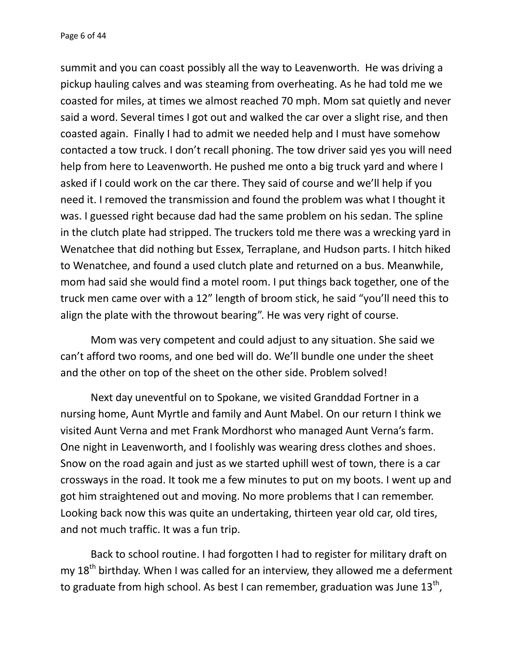summit and you can coast possibly all the way to Leavenworth. He was driving a pickup hauling calves and was steaming from overheating. As he had told me we coasted for miles, at times we almost reached 70 mph. Mom sat quietly and never said a word. Several times I got out and walked the car over a slight rise, and then coasted again. Finally I had to admit we needed help and I must have somehow contacted a tow truck. I don't recall phoning. The tow driver said yes you will need help from here to Leavenworth. He pushed me onto a big truck yard and where I asked if I could work on the car there. They said of course and we'll help if you need it. I removed the transmission and found the problem was what I thought it was. I guessed right because dad had the same problem on his sedan. The spline in the clutch plate had stripped. The truckers told me there was a wrecking yard in Wenatchee that did nothing but Essex, Terraplane, and Hudson parts. I hitch hiked to Wenatchee, and found a used clutch plate and returned on a bus. Meanwhile, mom had said she would find a motel room. I put things back together, one of the truck men came over with a 12" length of broom stick, he said "you'll need this to align the plate with the throwout bearing". He was very right of course.

Mom was very competent and could adjust to any situation. She said we can't afford two rooms, and one bed will do. We'll bundle one under the sheet and the other on top of the sheet on the other side. Problem solved!

Next day uneventful on to Spokane, we visited Granddad Fortner in a nursing home, Aunt Myrtle and family and Aunt Mabel. On our return I think we visited Aunt Verna and met Frank Mordhorst who managed Aunt Verna's farm. One night in Leavenworth, and I foolishly was wearing dress clothes and shoes. Snow on the road again and just as we started uphill west of town, there is a car crossways in the road. It took me a few minutes to put on my boots. I went up and got him straightened out and moving. No more problems that I can remember. Looking back now this was quite an undertaking, thirteen year old car, old tires, and not much traffic. It was a fun trip.

Back to school routine. I had forgotten I had to register for military draft on my  $18<sup>th</sup>$  birthday. When I was called for an interview, they allowed me a deferment to graduate from high school. As best I can remember, graduation was June 13<sup>th</sup>,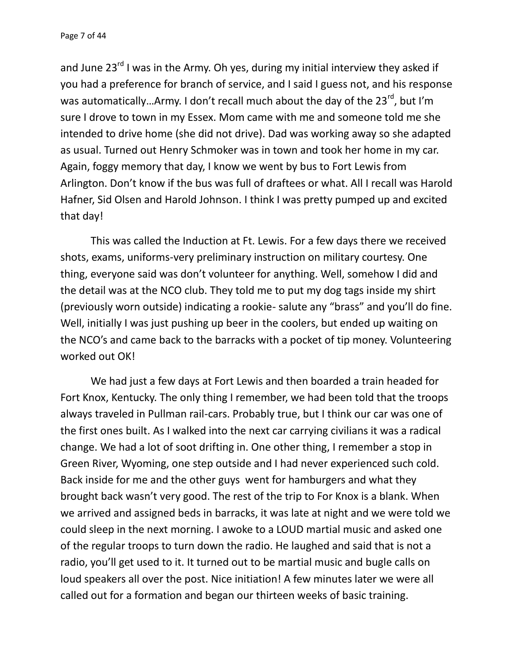and June  $23^{rd}$  I was in the Army. Oh yes, during my initial interview they asked if you had a preference for branch of service, and I said I guess not, and his response was automatically...Army. I don't recall much about the day of the 23<sup>rd</sup>, but I'm sure I drove to town in my Essex. Mom came with me and someone told me she intended to drive home (she did not drive). Dad was working away so she adapted as usual. Turned out Henry Schmoker was in town and took her home in my car. Again, foggy memory that day, I know we went by bus to Fort Lewis from Arlington. Don't know if the bus was full of draftees or what. All I recall was Harold Hafner, Sid Olsen and Harold Johnson. I think I was pretty pumped up and excited that day!

This was called the Induction at Ft. Lewis. For a few days there we received shots, exams, uniforms-very preliminary instruction on military courtesy. One thing, everyone said was don't volunteer for anything. Well, somehow I did and the detail was at the NCO club. They told me to put my dog tags inside my shirt (previously worn outside) indicating a rookie- salute any "brass" and you'll do fine. Well, initially I was just pushing up beer in the coolers, but ended up waiting on the NCO's and came back to the barracks with a pocket of tip money. Volunteering worked out OK!

We had just a few days at Fort Lewis and then boarded a train headed for Fort Knox, Kentucky. The only thing I remember, we had been told that the troops always traveled in Pullman rail-cars. Probably true, but I think our car was one of the first ones built. As I walked into the next car carrying civilians it was a radical change. We had a lot of soot drifting in. One other thing, I remember a stop in Green River, Wyoming, one step outside and I had never experienced such cold. Back inside for me and the other guys went for hamburgers and what they brought back wasn't very good. The rest of the trip to For Knox is a blank. When we arrived and assigned beds in barracks, it was late at night and we were told we could sleep in the next morning. I awoke to a LOUD martial music and asked one of the regular troops to turn down the radio. He laughed and said that is not a radio, you'll get used to it. It turned out to be martial music and bugle calls on loud speakers all over the post. Nice initiation! A few minutes later we were all called out for a formation and began our thirteen weeks of basic training.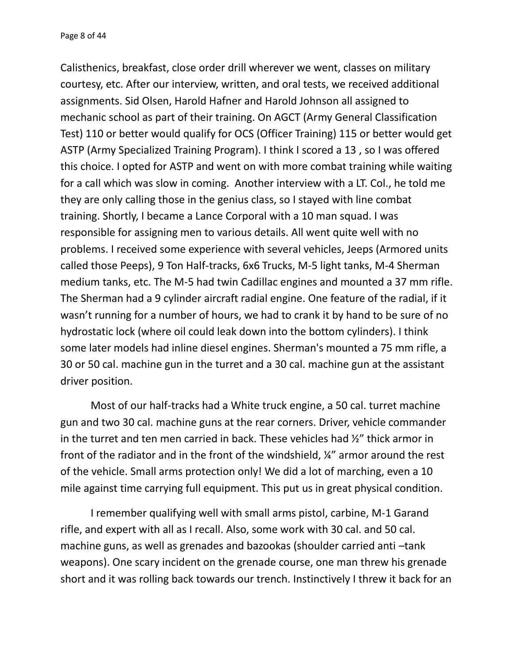Calisthenics, breakfast, close order drill wherever we went, classes on military courtesy, etc. After our interview, written, and oral tests, we received additional assignments. Sid Olsen, Harold Hafner and Harold Johnson all assigned to mechanic school as part of their training. On AGCT (Army General Classification Test) 110 or better would qualify for OCS (Officer Training) 115 or better would get ASTP (Army Specialized Training Program). I think I scored a 13 , so I was offered this choice. I opted for ASTP and went on with more combat training while waiting for a call which was slow in coming. Another interview with a LT. Col., he told me they are only calling those in the genius class, so I stayed with line combat training. Shortly, I became a Lance Corporal with a 10 man squad. I was responsible for assigning men to various details. All went quite well with no problems. I received some experience with several vehicles, Jeeps (Armored units called those Peeps), 9 Ton Half-tracks, 6x6 Trucks, M-5 light tanks, M-4 Sherman medium tanks, etc. The M-5 had twin Cadillac engines and mounted a 37 mm rifle. The Sherman had a 9 cylinder aircraft radial engine. One feature of the radial, if it wasn't running for a number of hours, we had to crank it by hand to be sure of no hydrostatic lock (where oil could leak down into the bottom cylinders). I think some later models had inline diesel engines. Sherman's mounted a 75 mm rifle, a 30 or 50 cal. machine gun in the turret and a 30 cal. machine gun at the assistant driver position.

Most of our half-tracks had a White truck engine, a 50 cal. turret machine gun and two 30 cal. machine guns at the rear corners. Driver, vehicle commander in the turret and ten men carried in back. These vehicles had ½" thick armor in front of the radiator and in the front of the windshield, ¼" armor around the rest of the vehicle. Small arms protection only! We did a lot of marching, even a 10 mile against time carrying full equipment. This put us in great physical condition.

I remember qualifying well with small arms pistol, carbine, M-1 Garand rifle, and expert with all as I recall. Also, some work with 30 cal. and 50 cal. machine guns, as well as grenades and bazookas (shoulder carried anti –tank weapons). One scary incident on the grenade course, one man threw his grenade short and it was rolling back towards our trench. Instinctively I threw it back for an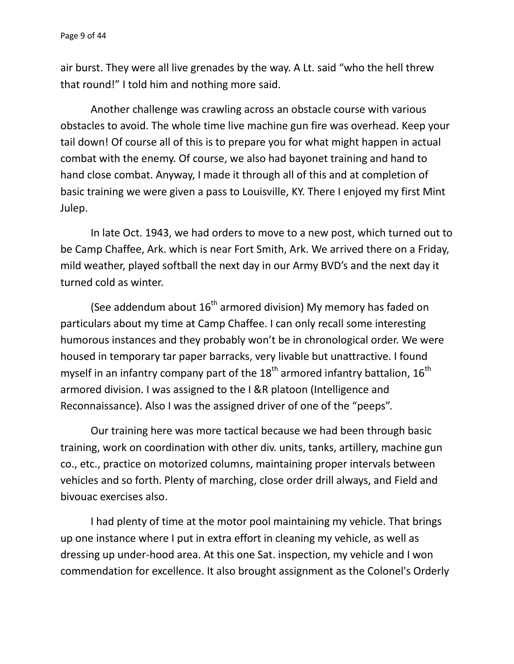air burst. They were all live grenades by the way. A Lt. said "who the hell threw that round!" I told him and nothing more said.

Another challenge was crawling across an obstacle course with various obstacles to avoid. The whole time live machine gun fire was overhead. Keep your tail down! Of course all of this is to prepare you for what might happen in actual combat with the enemy. Of course, we also had bayonet training and hand to hand close combat. Anyway, I made it through all of this and at completion of basic training we were given a pass to Louisville, KY. There I enjoyed my first Mint Julep.

In late Oct. 1943, we had orders to move to a new post, which turned out to be Camp Chaffee, Ark. which is near Fort Smith, Ark. We arrived there on a Friday, mild weather, played softball the next day in our Army BVD's and the next day it turned cold as winter.

(See addendum about  $16<sup>th</sup>$  armored division) My memory has faded on particulars about my time at Camp Chaffee. I can only recall some interesting humorous instances and they probably won't be in chronological order. We were housed in temporary tar paper barracks, very livable but unattractive. I found myself in an infantry company part of the  $18<sup>th</sup>$  armored infantry battalion,  $16<sup>th</sup>$ armored division. I was assigned to the I &R platoon (Intelligence and Reconnaissance). Also I was the assigned driver of one of the "peeps".

Our training here was more tactical because we had been through basic training, work on coordination with other div. units, tanks, artillery, machine gun co., etc., practice on motorized columns, maintaining proper intervals between vehicles and so forth. Plenty of marching, close order drill always, and Field and bivouac exercises also.

I had plenty of time at the motor pool maintaining my vehicle. That brings up one instance where I put in extra effort in cleaning my vehicle, as well as dressing up under-hood area. At this one Sat. inspection, my vehicle and I won commendation for excellence. It also brought assignment as the Colonel's Orderly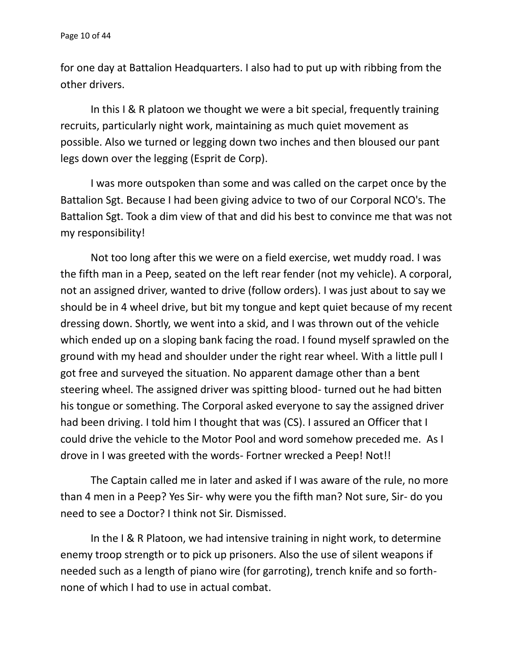for one day at Battalion Headquarters. I also had to put up with ribbing from the other drivers.

In this I & R platoon we thought we were a bit special, frequently training recruits, particularly night work, maintaining as much quiet movement as possible. Also we turned or legging down two inches and then bloused our pant legs down over the legging (Esprit de Corp).

I was more outspoken than some and was called on the carpet once by the Battalion Sgt. Because I had been giving advice to two of our Corporal NCO's. The Battalion Sgt. Took a dim view of that and did his best to convince me that was not my responsibility!

Not too long after this we were on a field exercise, wet muddy road. I was the fifth man in a Peep, seated on the left rear fender (not my vehicle). A corporal, not an assigned driver, wanted to drive (follow orders). I was just about to say we should be in 4 wheel drive, but bit my tongue and kept quiet because of my recent dressing down. Shortly, we went into a skid, and I was thrown out of the vehicle which ended up on a sloping bank facing the road. I found myself sprawled on the ground with my head and shoulder under the right rear wheel. With a little pull I got free and surveyed the situation. No apparent damage other than a bent steering wheel. The assigned driver was spitting blood- turned out he had bitten his tongue or something. The Corporal asked everyone to say the assigned driver had been driving. I told him I thought that was (CS). I assured an Officer that I could drive the vehicle to the Motor Pool and word somehow preceded me. As I drove in I was greeted with the words- Fortner wrecked a Peep! Not!!

The Captain called me in later and asked if I was aware of the rule, no more than 4 men in a Peep? Yes Sir- why were you the fifth man? Not sure, Sir- do you need to see a Doctor? I think not Sir. Dismissed.

In the I & R Platoon, we had intensive training in night work, to determine enemy troop strength or to pick up prisoners. Also the use of silent weapons if needed such as a length of piano wire (for garroting), trench knife and so forth none of which I had to use in actual combat.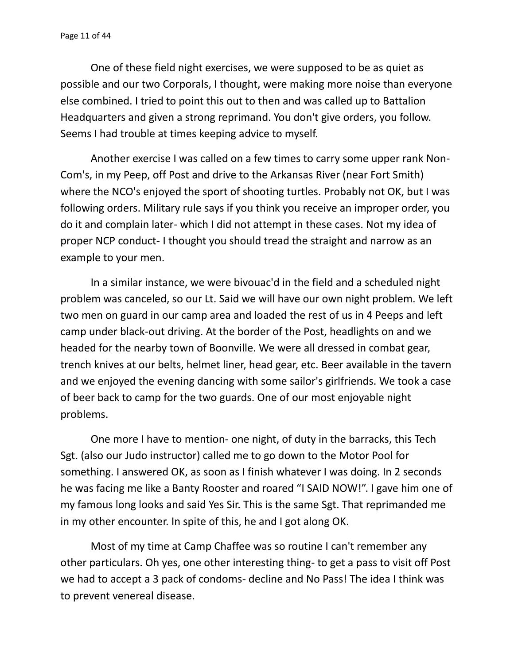One of these field night exercises, we were supposed to be as quiet as possible and our two Corporals, I thought, were making more noise than everyone else combined. I tried to point this out to then and was called up to Battalion Headquarters and given a strong reprimand. You don't give orders, you follow. Seems I had trouble at times keeping advice to myself.

Another exercise I was called on a few times to carry some upper rank Non- Com's, in my Peep, off Post and drive to the Arkansas River (near Fort Smith) where the NCO's enjoyed the sport of shooting turtles. Probably not OK, but I was following orders. Military rule says if you think you receive an improper order, you do it and complain later- which I did not attempt in these cases. Not my idea of proper NCP conduct- I thought you should tread the straight and narrow as an example to your men.

In a similar instance, we were bivouac'd in the field and a scheduled night problem was canceled, so our Lt. Said we will have our own night problem. We left two men on guard in our camp area and loaded the rest of us in 4 Peeps and left camp under black-out driving. At the border of the Post, headlights on and we headed for the nearby town of Boonville. We were all dressed in combat gear, trench knives at our belts, helmet liner, head gear, etc. Beer available in the tavern and we enjoyed the evening dancing with some sailor's girlfriends. We took a case of beer back to camp for the two guards. One of our most enjoyable night problems.

One more I have to mention- one night, of duty in the barracks, this Tech Sgt. (also our Judo instructor) called me to go down to the Motor Pool for something. I answered OK, as soon as I finish whatever I was doing. In 2 seconds he was facing me like a Banty Rooster and roared "I SAID NOW!". I gave him one of my famous long looks and said Yes Sir. This is the same Sgt. That reprimanded me in my other encounter. In spite of this, he and I got along OK.

Most of my time at Camp Chaffee was so routine I can't remember any other particulars. Oh yes, one other interesting thing- to get a pass to visit off Post we had to accept a 3 pack of condoms- decline and No Pass! The idea I think was to prevent venereal disease.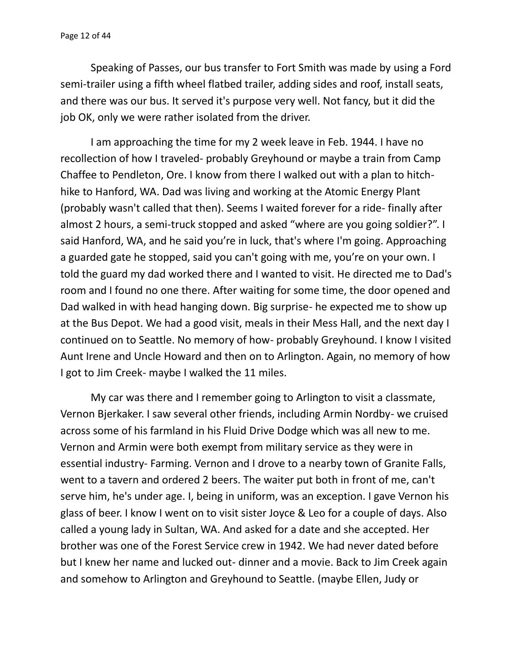Speaking of Passes, our bus transfer to Fort Smith was made by using a Ford semi-trailer using a fifth wheel flatbed trailer, adding sides and roof, install seats, and there was our bus. It served it's purpose very well. Not fancy, but it did the job OK, only we were rather isolated from the driver.

I am approaching the time for my 2 week leave in Feb. 1944. I have no recollection of how I traveled- probably Greyhound or maybe a train from Camp Chaffee to Pendleton, Ore. I know from there I walked out with a plan to hitch hike to Hanford, WA. Dad was living and working at the Atomic Energy Plant (probably wasn't called that then). Seems I waited forever for a ride- finally after almost 2 hours, a semi-truck stopped and asked "where are you going soldier?". I said Hanford, WA, and he said you're in luck, that's where I'm going. Approaching a guarded gate he stopped, said you can't going with me, you're on your own. I told the guard my dad worked there and I wanted to visit. He directed me to Dad's room and I found no one there. After waiting for some time, the door opened and Dad walked in with head hanging down. Big surprise- he expected me to show up at the Bus Depot. We had a good visit, meals in their Mess Hall, and the next day I continued on to Seattle. No memory of how- probably Greyhound. I know I visited Aunt Irene and Uncle Howard and then on to Arlington. Again, no memory of how I got to Jim Creek- maybe I walked the 11 miles.

My car was there and I remember going to Arlington to visit a classmate, Vernon Bjerkaker. I saw several other friends, including Armin Nordby- we cruised across some of his farmland in his Fluid Drive Dodge which was all new to me. Vernon and Armin were both exempt from military service as they were in essential industry- Farming. Vernon and I drove to a nearby town of Granite Falls, went to a tavern and ordered 2 beers. The waiter put both in front of me, can't serve him, he's under age. I, being in uniform, was an exception. I gave Vernon his glass of beer. I know I went on to visit sister Joyce & Leo for a couple of days. Also called a young lady in Sultan, WA. And asked for a date and she accepted. Her brother was one of the Forest Service crew in 1942. We had never dated before but I knew her name and lucked out- dinner and a movie. Back to Jim Creek again and somehow to Arlington and Greyhound to Seattle. (maybe Ellen, Judy or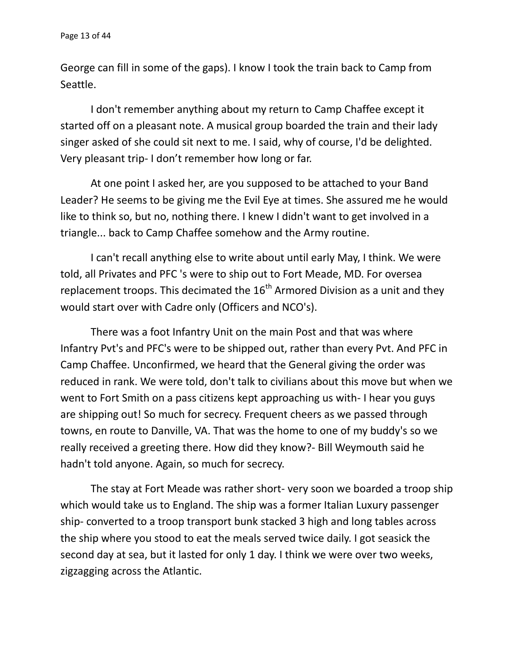George can fill in some of the gaps). I know I took the train back to Camp from Seattle.

I don't remember anything about my return to Camp Chaffee except it started off on a pleasant note. A musical group boarded the train and their lady singer asked of she could sit next to me. I said, why of course, I'd be delighted. Very pleasant trip- I don't remember how long or far.

At one point I asked her, are you supposed to be attached to your Band Leader? He seems to be giving me the Evil Eye at times. She assured me he would like to think so, but no, nothing there. I knew I didn't want to get involved in a triangle... back to Camp Chaffee somehow and the Army routine.

I can't recall anything else to write about until early May, I think. We were told, all Privates and PFC 's were to ship out to Fort Meade, MD. For oversea replacement troops. This decimated the  $16<sup>th</sup>$  Armored Division as a unit and they would start over with Cadre only (Officers and NCO's).

There was a foot Infantry Unit on the main Post and that was where Infantry Pvt's and PFC's were to be shipped out, rather than every Pvt. And PFC in Camp Chaffee. Unconfirmed, we heard that the General giving the order was reduced in rank. We were told, don't talk to civilians about this move but when we went to Fort Smith on a pass citizens kept approaching us with- I hear you guys are shipping out! So much for secrecy. Frequent cheers as we passed through towns, en route to Danville, VA. That was the home to one of my buddy's so we really received a greeting there. How did they know?- Bill Weymouth said he hadn't told anyone. Again, so much for secrecy.

The stay at Fort Meade was rather short- very soon we boarded a troop ship which would take us to England. The ship was a former Italian Luxury passenger ship- converted to a troop transport bunk stacked 3 high and long tables across the ship where you stood to eat the meals served twice daily. I got seasick the second day at sea, but it lasted for only 1 day. I think we were over two weeks, zigzagging across the Atlantic.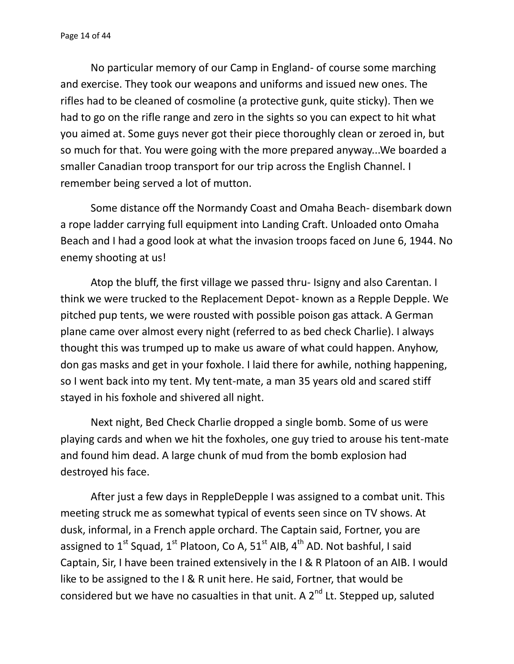No particular memory of our Camp in England- of course some marching and exercise. They took our weapons and uniforms and issued new ones. The rifles had to be cleaned of cosmoline (a protective gunk, quite sticky). Then we had to go on the rifle range and zero in the sights so you can expect to hit what you aimed at. Some guys never got their piece thoroughly clean or zeroed in, but so much for that. You were going with the more prepared anyway...We boarded a smaller Canadian troop transport for our trip across the English Channel. I remember being served a lot of mutton.

Some distance off the Normandy Coast and Omaha Beach- disembark down a rope ladder carrying full equipment into Landing Craft. Unloaded onto Omaha Beach and I had a good look at what the invasion troops faced on June 6, 1944. No enemy shooting at us!

Atop the bluff, the first village we passed thru- Isigny and also Carentan. I think we were trucked to the Replacement Depot- known as a Repple Depple. We pitched pup tents, we were rousted with possible poison gas attack. A German plane came over almost every night (referred to as bed check Charlie). I always thought this was trumped up to make us aware of what could happen. Anyhow, don gas masks and get in your foxhole. I laid there for awhile, nothing happening, so I went back into my tent. My tent-mate, a man 35 years old and scared stiff stayed in his foxhole and shivered all night.

Next night, Bed Check Charlie dropped a single bomb. Some of us were playing cards and when we hit the foxholes, one guy tried to arouse his tent-mate and found him dead. A large chunk of mud from the bomb explosion had destroyed his face.

After just a few days in ReppleDepple I was assigned to a combat unit. This meeting struck me as somewhat typical of events seen since on TV shows. At dusk, informal, in a French apple orchard. The Captain said, Fortner, you are assigned to  $1^{\text{st}}$  Squad,  $1^{\text{st}}$  Platoon, Co A,  $51^{\text{st}}$  AIB,  $4^{\text{th}}$  AD. Not bashful, I said Captain, Sir, I have been trained extensively in the I & R Platoon of an AIB. I would like to be assigned to the I & R unit here. He said, Fortner, that would be considered but we have no casualties in that unit. A  $2^{nd}$  Lt. Stepped up, saluted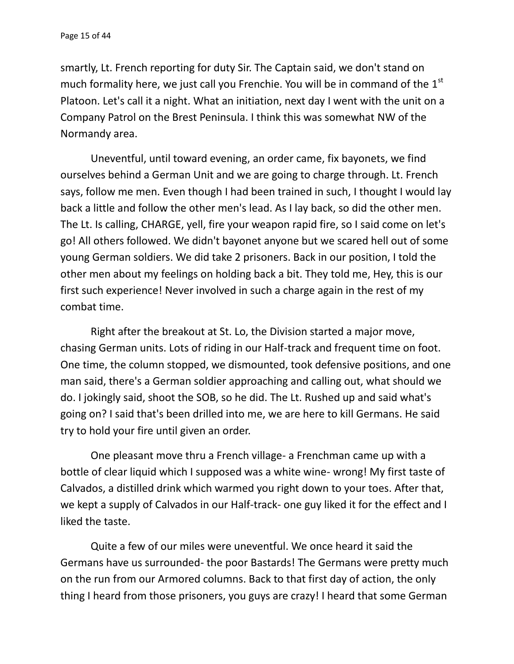smartly, Lt. French reporting for duty Sir. The Captain said, we don't stand on much formality here, we just call you Frenchie. You will be in command of the  $1<sup>st</sup>$ Platoon. Let's call it a night. What an initiation, next day I went with the unit on a Company Patrol on the Brest Peninsula. I think this was somewhat NW of the Normandy area.

Uneventful, until toward evening, an order came, fix bayonets, we find ourselves behind a German Unit and we are going to charge through. Lt. French says, follow me men. Even though I had been trained in such, I thought I would lay back a little and follow the other men's lead. As I lay back, so did the other men. The Lt. Is calling, CHARGE, yell, fire your weapon rapid fire, so I said come on let's go! All others followed. We didn't bayonet anyone but we scared hell out of some young German soldiers. We did take 2 prisoners. Back in our position, I told the other men about my feelings on holding back a bit. They told me, Hey, this is our first such experience! Never involved in such a charge again in the rest of my combat time.

Right after the breakout at St. Lo, the Division started a major move, chasing German units. Lots of riding in our Half-track and frequent time on foot. One time, the column stopped, we dismounted, took defensive positions, and one man said, there's a German soldier approaching and calling out, what should we do. I jokingly said, shoot the SOB, so he did. The Lt. Rushed up and said what's going on? I said that's been drilled into me, we are here to kill Germans. He said try to hold your fire until given an order.

One pleasant move thru a French village- a Frenchman came up with a bottle of clear liquid which I supposed was a white wine- wrong! My first taste of Calvados, a distilled drink which warmed you right down to your toes. After that, we kept a supply of Calvados in our Half-track- one guy liked it for the effect and I liked the taste.

Quite a few of our miles were uneventful. We once heard it said the Germans have us surrounded- the poor Bastards! The Germans were pretty much on the run from our Armored columns. Back to that first day of action, the only thing I heard from those prisoners, you guys are crazy! I heard that some German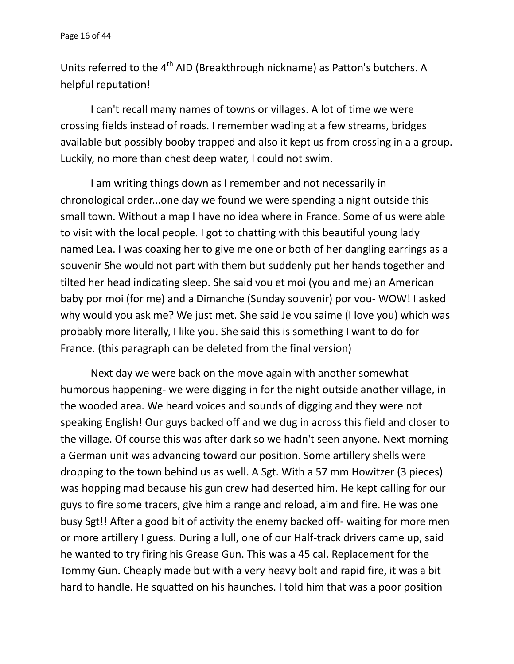Units referred to the  $4<sup>th</sup>$  AID (Breakthrough nickname) as Patton's butchers. A helpful reputation!

I can't recall many names of towns or villages. A lot of time we were crossing fields instead of roads. I remember wading at a few streams, bridges available but possibly booby trapped and also it kept us from crossing in a a group. Luckily, no more than chest deep water, I could not swim.

I am writing things down as I remember and not necessarily in chronological order...one day we found we were spending a night outside this small town. Without a map I have no idea where in France. Some of us were able to visit with the local people. I got to chatting with this beautiful young lady named Lea. I was coaxing her to give me one or both of her dangling earrings as a souvenir She would not part with them but suddenly put her hands together and tilted her head indicating sleep. She said vou et moi (you and me) an American baby por moi (for me) and a Dimanche (Sunday souvenir) por vou- WOW! I asked why would you ask me? We just met. She said Je vou saime (I love you) which was probably more literally, I like you. She said this is something I want to do for France. (this paragraph can be deleted from the final version)

Next day we were back on the move again with another somewhat humorous happening- we were digging in for the night outside another village, in the wooded area. We heard voices and sounds of digging and they were not speaking English! Our guys backed off and we dug in across this field and closer to the village. Of course this was after dark so we hadn't seen anyone. Next morning a German unit was advancing toward our position. Some artillery shells were dropping to the town behind us as well. A Sgt. With a 57 mm Howitzer (3 pieces) was hopping mad because his gun crew had deserted him. He kept calling for our guys to fire some tracers, give him a range and reload, aim and fire. He was one busy Sgt!! After a good bit of activity the enemy backed off- waiting for more men or more artillery I guess. During a lull, one of our Half-track drivers came up, said he wanted to try firing his Grease Gun. This was a 45 cal. Replacement for the Tommy Gun. Cheaply made but with a very heavy bolt and rapid fire, it was a bit hard to handle. He squatted on his haunches. I told him that was a poor position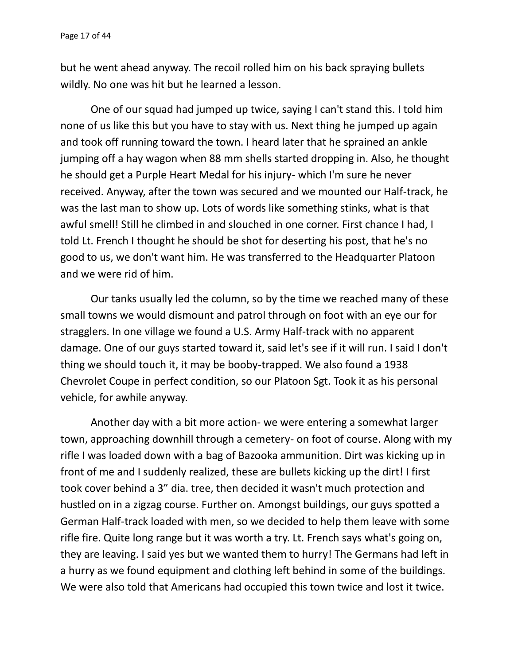but he went ahead anyway. The recoil rolled him on his back spraying bullets wildly. No one was hit but he learned a lesson.

One of our squad had jumped up twice, saying I can't stand this. I told him none of us like this but you have to stay with us. Next thing he jumped up again and took off running toward the town. I heard later that he sprained an ankle jumping off a hay wagon when 88 mm shells started dropping in. Also, he thought he should get a Purple Heart Medal for his injury- which I'm sure he never received. Anyway, after the town was secured and we mounted our Half-track, he was the last man to show up. Lots of words like something stinks, what is that awful smell! Still he climbed in and slouched in one corner. First chance I had, I told Lt. French I thought he should be shot for deserting his post, that he's no good to us, we don't want him. He was transferred to the Headquarter Platoon and we were rid of him.

Our tanks usually led the column, so by the time we reached many of these small towns we would dismount and patrol through on foot with an eye our for stragglers. In one village we found a U.S. Army Half-track with no apparent damage. One of our guys started toward it, said let's see if it will run. I said I don't thing we should touch it, it may be booby-trapped. We also found a 1938 Chevrolet Coupe in perfect condition, so our Platoon Sgt. Took it as his personal vehicle, for awhile anyway.

Another day with a bit more action- we were entering a somewhat larger town, approaching downhill through a cemetery- on foot of course. Along with my rifle I was loaded down with a bag of Bazooka ammunition. Dirt was kicking up in front of me and I suddenly realized, these are bullets kicking up the dirt! I first took cover behind a 3" dia. tree, then decided it wasn't much protection and hustled on in a zigzag course. Further on. Amongst buildings, our guys spotted a German Half-track loaded with men, so we decided to help them leave with some rifle fire. Quite long range but it was worth a try. Lt. French says what's going on, they are leaving. I said yes but we wanted them to hurry! The Germans had left in a hurry as we found equipment and clothing left behind in some of the buildings. We were also told that Americans had occupied this town twice and lost it twice.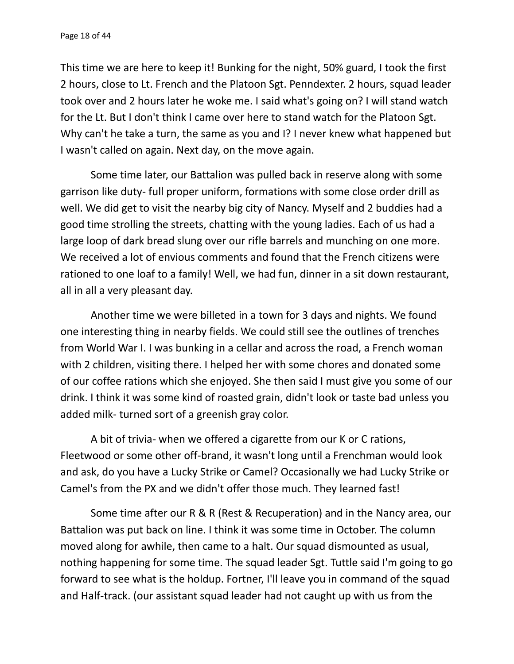This time we are here to keep it! Bunking for the night, 50% guard, I took the first 2 hours, close to Lt. French and the Platoon Sgt. Penndexter. 2 hours, squad leader took over and 2 hours later he woke me. I said what's going on? I will stand watch for the Lt. But I don't think I came over here to stand watch for the Platoon Sgt. Why can't he take a turn, the same as you and I? I never knew what happened but I wasn't called on again. Next day, on the move again.

Some time later, our Battalion was pulled back in reserve along with some garrison like duty- full proper uniform, formations with some close order drill as well. We did get to visit the nearby big city of Nancy. Myself and 2 buddies had a good time strolling the streets, chatting with the young ladies. Each of us had a large loop of dark bread slung over our rifle barrels and munching on one more. We received a lot of envious comments and found that the French citizens were rationed to one loaf to a family! Well, we had fun, dinner in a sit down restaurant, all in all a very pleasant day.

Another time we were billeted in a town for 3 days and nights. We found one interesting thing in nearby fields. We could still see the outlines of trenches from World War I. I was bunking in a cellar and across the road, a French woman with 2 children, visiting there. I helped her with some chores and donated some of our coffee rations which she enjoyed. She then said I must give you some of our drink. I think it was some kind of roasted grain, didn't look or taste bad unless you added milk- turned sort of a greenish gray color.

A bit of trivia- when we offered a cigarette from our K or C rations, Fleetwood or some other off-brand, it wasn't long until a Frenchman would look and ask, do you have a Lucky Strike or Camel? Occasionally we had Lucky Strike or Camel's from the PX and we didn't offer those much. They learned fast!

Some time after our R & R (Rest & Recuperation) and in the Nancy area, our Battalion was put back on line. I think it was some time in October. The column moved along for awhile, then came to a halt. Our squad dismounted as usual, nothing happening for some time. The squad leader Sgt. Tuttle said I'm going to go forward to see what is the holdup. Fortner, I'll leave you in command of the squad and Half-track. (our assistant squad leader had not caught up with us from the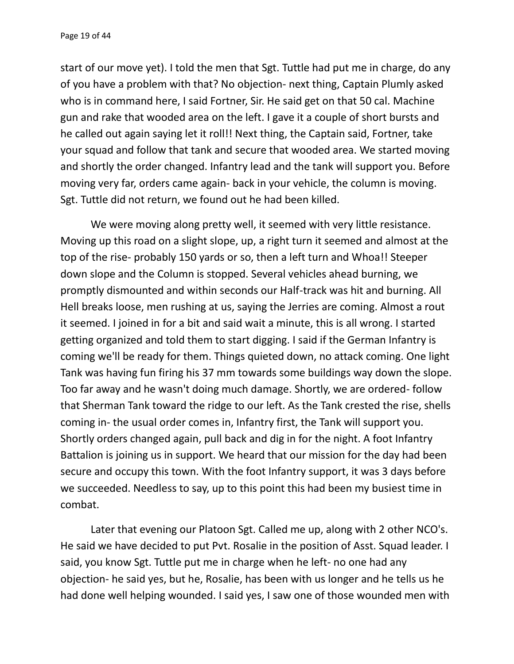start of our move yet). I told the men that Sgt. Tuttle had put me in charge, do any of you have a problem with that? No objection- next thing, Captain Plumly asked who is in command here, I said Fortner, Sir. He said get on that 50 cal. Machine gun and rake that wooded area on the left. I gave it a couple of short bursts and he called out again saying let it roll!! Next thing, the Captain said, Fortner, take your squad and follow that tank and secure that wooded area. We started moving and shortly the order changed. Infantry lead and the tank will support you. Before moving very far, orders came again- back in your vehicle, the column is moving. Sgt. Tuttle did not return, we found out he had been killed.

We were moving along pretty well, it seemed with very little resistance. Moving up this road on a slight slope, up, a right turn it seemed and almost at the top of the rise- probably 150 yards or so, then a left turn and Whoa!! Steeper down slope and the Column is stopped. Several vehicles ahead burning, we promptly dismounted and within seconds our Half-track was hit and burning. All Hell breaks loose, men rushing at us, saying the Jerries are coming. Almost a rout it seemed. I joined in for a bit and said wait a minute, this is all wrong. I started getting organized and told them to start digging. I said if the German Infantry is coming we'll be ready for them. Things quieted down, no attack coming. One light Tank was having fun firing his 37 mm towards some buildings way down the slope. Too far away and he wasn't doing much damage. Shortly, we are ordered- follow that Sherman Tank toward the ridge to our left. As the Tank crested the rise, shells coming in- the usual order comes in, Infantry first, the Tank will support you. Shortly orders changed again, pull back and dig in for the night. A foot Infantry Battalion is joining us in support. We heard that our mission for the day had been secure and occupy this town. With the foot Infantry support, it was 3 days before we succeeded. Needless to say, up to this point this had been my busiest time in combat.

Later that evening our Platoon Sgt. Called me up, along with 2 other NCO's. He said we have decided to put Pvt. Rosalie in the position of Asst. Squad leader. I said, you know Sgt. Tuttle put me in charge when he left- no one had any objection- he said yes, but he, Rosalie, has been with us longer and he tells us he had done well helping wounded. I said yes, I saw one of those wounded men with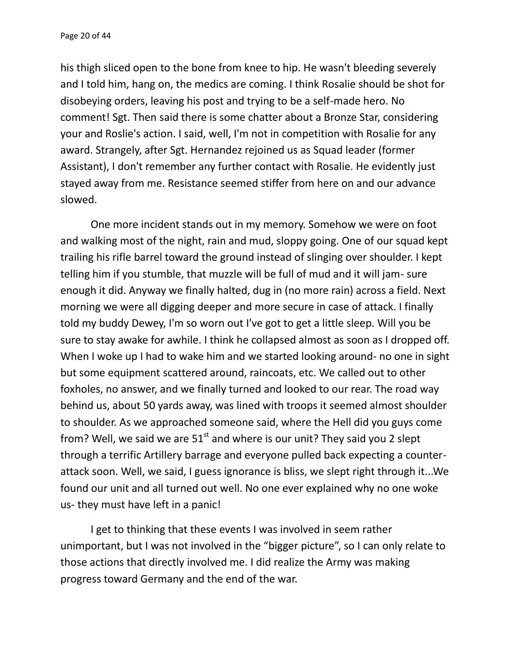his thigh sliced open to the bone from knee to hip. He wasn't bleeding severely and I told him, hang on, the medics are coming. I think Rosalie should be shot for disobeying orders, leaving his post and trying to be a self-made hero. No comment! Sgt. Then said there is some chatter about a Bronze Star, considering your and Roslie's action. I said, well, I'm not in competition with Rosalie for any award. Strangely, after Sgt. Hernandez rejoined us as Squad leader (former Assistant), I don't remember any further contact with Rosalie. He evidently just stayed away from me. Resistance seemed stiffer from here on and our advance slowed.

One more incident stands out in my memory. Somehow we were on foot and walking most of the night, rain and mud, sloppy going. One of our squad kept trailing his rifle barrel toward the ground instead of slinging over shoulder. I kept telling him if you stumble, that muzzle will be full of mud and it will jam- sure enough it did. Anyway we finally halted, dug in (no more rain) across a field. Next morning we were all digging deeper and more secure in case of attack. I finally told my buddy Dewey, I'm so worn out I've got to get a little sleep. Will you be sure to stay awake for awhile. I think he collapsed almost as soon as I dropped off. When I woke up I had to wake him and we started looking around- no one in sight but some equipment scattered around, raincoats, etc. We called out to other foxholes, no answer, and we finally turned and looked to our rear. The road way behind us, about 50 yards away, was lined with troops it seemed almost shoulder to shoulder. As we approached someone said, where the Hell did you guys come from? Well, we said we are  $51<sup>st</sup>$  and where is our unit? They said you 2 slept through a terrific Artillery barrage and everyone pulled back expecting a counter attack soon. Well, we said, I guess ignorance is bliss, we slept right through it...We found our unit and all turned out well. No one ever explained why no one woke us- they must have left in a panic!

I get to thinking that these events I was involved in seem rather unimportant, but I was not involved in the "bigger picture", so I can only relate to those actions that directly involved me. I did realize the Army was making progress toward Germany and the end of the war.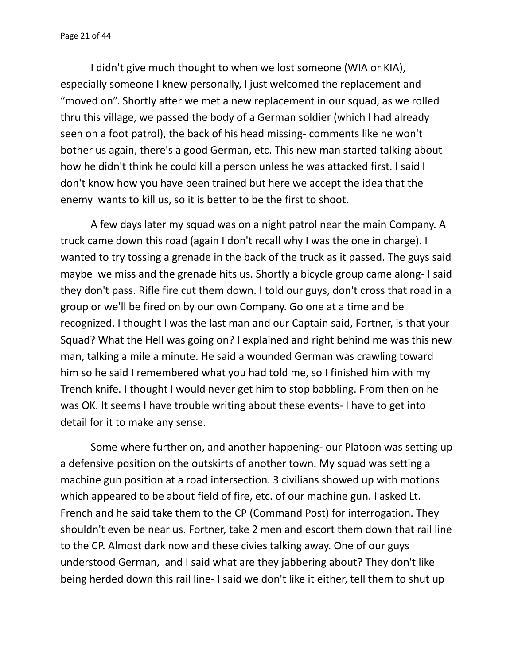I didn't give much thought to when we lost someone (WIA or KIA), especially someone I knew personally, I just welcomed the replacement and "moved on". Shortly after we met a new replacement in our squad, as we rolled thru this village, we passed the body of a German soldier (which I had already seen on a foot patrol), the back of his head missing- comments like he won't bother us again, there's a good German, etc. This new man started talking about how he didn't think he could kill a person unless he was attacked first. I said I don't know how you have been trained but here we accept the idea that the enemy wants to kill us, so it is better to be the first to shoot.

A few days later my squad was on a night patrol near the main Company. A truck came down this road (again I don't recall why I was the one in charge). I wanted to try tossing a grenade in the back of the truck as it passed. The guys said maybe we miss and the grenade hits us. Shortly a bicycle group came along- I said they don't pass. Rifle fire cut them down. I told our guys, don't cross that road in a group or we'll be fired on by our own Company. Go one at a time and be recognized. I thought I was the last man and our Captain said, Fortner, is that your Squad? What the Hell was going on? I explained and right behind me was this new man, talking a mile a minute. He said a wounded German was crawling toward him so he said I remembered what you had told me, so I finished him with my Trench knife. I thought I would never get him to stop babbling. From then on he was OK. It seems I have trouble writing about these events- I have to get into detail for it to make any sense.

Some where further on, and another happening- our Platoon was setting up a defensive position on the outskirts of another town. My squad was setting a machine gun position at a road intersection. 3 civilians showed up with motions which appeared to be about field of fire, etc. of our machine gun. I asked Lt. French and he said take them to the CP (Command Post) for interrogation. They shouldn't even be near us. Fortner, take 2 men and escort them down that rail line to the CP. Almost dark now and these civies talking away. One of our guys understood German, and I said what are they jabbering about? They don't like being herded down this rail line- I said we don't like it either, tell them to shut up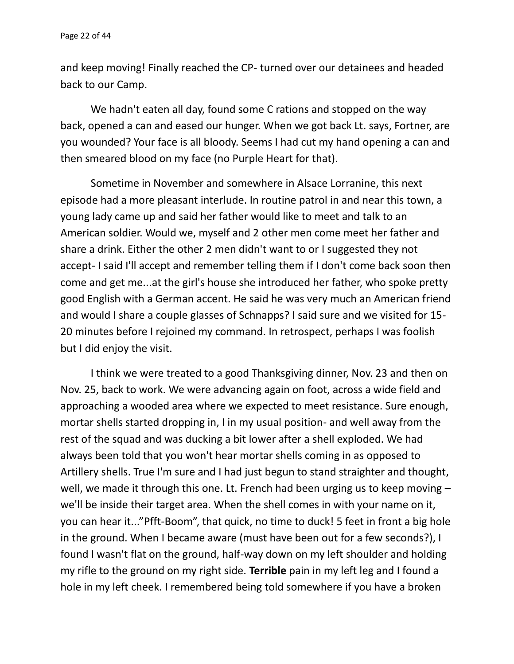and keep moving! Finally reached the CP- turned over our detainees and headed back to our Camp.

We hadn't eaten all day, found some C rations and stopped on the way back, opened a can and eased our hunger. When we got back Lt. says, Fortner, are you wounded? Your face is all bloody. Seems I had cut my hand opening a can and then smeared blood on my face (no Purple Heart for that).

Sometime in November and somewhere in Alsace Lorranine, this next episode had a more pleasant interlude. In routine patrol in and near this town, a young lady came up and said her father would like to meet and talk to an American soldier. Would we, myself and 2 other men come meet her father and share a drink. Either the other 2 men didn't want to or I suggested they not accept- I said I'll accept and remember telling them if I don't come back soon then come and get me...at the girl's house she introduced her father, who spoke pretty good English with a German accent. He said he was very much an American friend and would I share a couple glasses of Schnapps? I said sure and we visited for 15- 20 minutes before I rejoined my command. In retrospect, perhaps I was foolish but I did enjoy the visit.

I think we were treated to a good Thanksgiving dinner, Nov. 23 and then on Nov. 25, back to work. We were advancing again on foot, across a wide field and approaching a wooded area where we expected to meet resistance. Sure enough, mortar shells started dropping in, I in my usual position- and well away from the rest of the squad and was ducking a bit lower after a shell exploded. We had always been told that you won't hear mortar shells coming in as opposed to Artillery shells. True I'm sure and I had just begun to stand straighter and thought, well, we made it through this one. Lt. French had been urging us to keep moving – we'll be inside their target area. When the shell comes in with your name on it, you can hear it..."Pfft-Boom", that quick, no time to duck! 5 feet in front a big hole in the ground. When I became aware (must have been out for a few seconds?), I found I wasn't flat on the ground, half-way down on my left shoulder and holding my rifle to the ground on my right side. **Terrible** pain in my left leg and I found a hole in my left cheek. I remembered being told somewhere if you have a broken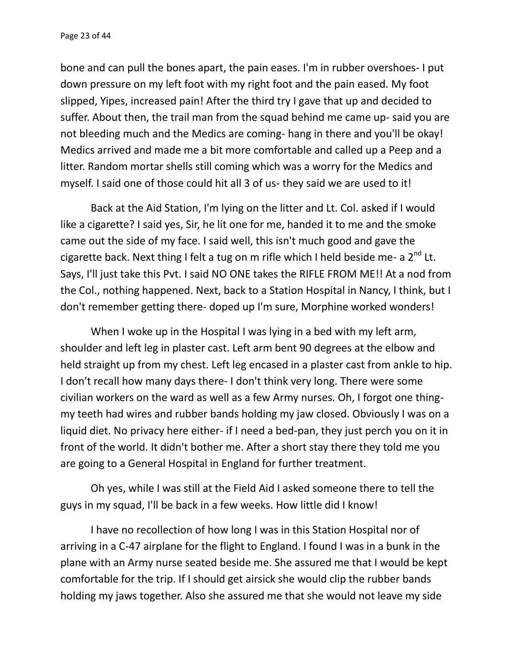bone and can pull the bones apart, the pain eases. I'm in rubber overshoes- I put down pressure on my left foot with my right foot and the pain eased. My foot slipped, Yipes, increased pain! After the third try I gave that up and decided to suffer. About then, the trail man from the squad behind me came up- said you are not bleeding much and the Medics are coming- hang in there and you'll be okay! Medics arrived and made me a bit more comfortable and called up a Peep and a litter. Random mortar shells still coming which was a worry for the Medics and myself. I said one of those could hit all 3 of us- they said we are used to it!

Back at the Aid Station, I'm lying on the litter and Lt. Col. asked if I would like a cigarette? I said yes, Sir, he lit one for me, handed it to me and the smoke came out the side of my face. I said well, this isn't much good and gave the cigarette back. Next thing I felt a tug on m rifle which I held beside me- a  $2^{nd}$  Lt. Says, I'll just take this Pvt. I said NO ONE takes the RIFLE FROM ME!! At a nod from the Col., nothing happened. Next, back to a Station Hospital in Nancy, I think, but I don't remember getting there- doped up I'm sure, Morphine worked wonders!

When I woke up in the Hospital I was lying in a bed with my left arm, shoulder and left leg in plaster cast. Left arm bent 90 degrees at the elbow and held straight up from my chest. Left leg encased in a plaster cast from ankle to hip. I don't recall how many days there- I don't think very long. There were some civilian workers on the ward as well as a few Army nurses. Oh, I forgot one thing my teeth had wires and rubber bands holding my jaw closed. Obviously I was on a liquid diet. No privacy here either- if I need a bed-pan, they just perch you on it in front of the world. It didn't bother me. After a short stay there they told me you are going to a General Hospital in England for further treatment.

Oh yes, while I was still at the Field Aid I asked someone there to tell the guys in my squad, I'll be back in a few weeks. How little did I know!

I have no recollection of how long I was in this Station Hospital nor of arriving in a C-47 airplane for the flight to England. I found I was in a bunk in the plane with an Army nurse seated beside me. She assured me that I would be kept comfortable for the trip. If I should get airsick she would clip the rubber bands holding my jaws together. Also she assured me that she would not leave my side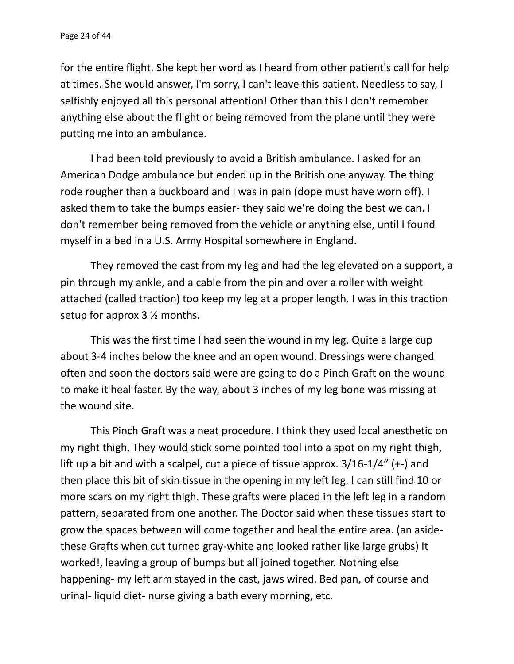for the entire flight. She kept her word as I heard from other patient's call for help at times. She would answer, I'm sorry, I can't leave this patient. Needless to say, I selfishly enjoyed all this personal attention! Other than this I don't remember anything else about the flight or being removed from the plane until they were putting me into an ambulance.

I had been told previously to avoid a British ambulance. I asked for an American Dodge ambulance but ended up in the British one anyway. The thing rode rougher than a buckboard and I was in pain (dope must have worn off). I asked them to take the bumps easier- they said we're doing the best we can. I don't remember being removed from the vehicle or anything else, until I found myself in a bed in a U.S. Army Hospital somewhere in England.

They removed the cast from my leg and had the leg elevated on a support, a pin through my ankle, and a cable from the pin and over a roller with weight attached (called traction) too keep my leg at a proper length. I was in this traction setup for approx 3 ½ months.

This was the first time I had seen the wound in my leg. Quite a large cup about 3-4 inches below the knee and an open wound. Dressings were changed often and soon the doctors said were are going to do a Pinch Graft on the wound to make it heal faster. By the way, about 3 inches of my leg bone was missing at the wound site.

This Pinch Graft was a neat procedure. I think they used local anesthetic on my right thigh. They would stick some pointed tool into a spot on my right thigh, lift up a bit and with a scalpel, cut a piece of tissue approx. 3/16-1/4" (+-) and then place this bit of skin tissue in the opening in my left leg. I can still find 10 or more scars on my right thigh. These grafts were placed in the left leg in a random pattern, separated from one another. The Doctor said when these tissues start to grow the spaces between will come together and heal the entire area. (an aside these Grafts when cut turned gray-white and looked rather like large grubs) It worked!, leaving a group of bumps but all joined together. Nothing else happening- my left arm stayed in the cast, jaws wired. Bed pan, of course and urinal- liquid diet- nurse giving a bath every morning, etc.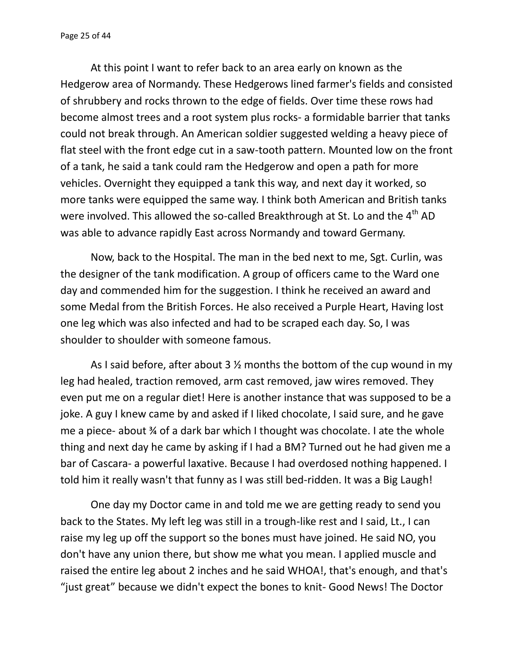At this point I want to refer back to an area early on known as the Hedgerow area of Normandy. These Hedgerows lined farmer's fields and consisted of shrubbery and rocks thrown to the edge of fields. Over time these rows had become almost trees and a root system plus rocks- a formidable barrier that tanks could not break through. An American soldier suggested welding a heavy piece of flat steel with the front edge cut in a saw-tooth pattern. Mounted low on the front of a tank, he said a tank could ram the Hedgerow and open a path for more vehicles. Overnight they equipped a tank this way, and next day it worked, so more tanks were equipped the same way. I think both American and British tanks were involved. This allowed the so-called Breakthrough at St. Lo and the 4<sup>th</sup> AD was able to advance rapidly East across Normandy and toward Germany.

Now, back to the Hospital. The man in the bed next to me, Sgt. Curlin, was the designer of the tank modification. A group of officers came to the Ward one day and commended him for the suggestion. I think he received an award and some Medal from the British Forces. He also received a Purple Heart, Having lost one leg which was also infected and had to be scraped each day. So, I was shoulder to shoulder with someone famous.

As I said before, after about 3  $\frac{1}{2}$  months the bottom of the cup wound in my leg had healed, traction removed, arm cast removed, jaw wires removed. They even put me on a regular diet! Here is another instance that was supposed to be a joke. A guy I knew came by and asked if I liked chocolate, I said sure, and he gave me a piece- about ¾ of a dark bar which I thought was chocolate. I ate the whole thing and next day he came by asking if I had a BM? Turned out he had given me a bar of Cascara- a powerful laxative. Because I had overdosed nothing happened. I told him it really wasn't that funny as I was still bed-ridden. It was a Big Laugh!

One day my Doctor came in and told me we are getting ready to send you back to the States. My left leg was still in a trough-like rest and I said, Lt., I can raise my leg up off the support so the bones must have joined. He said NO, you don't have any union there, but show me what you mean. I applied muscle and raised the entire leg about 2 inches and he said WHOA!, that's enough, and that's "just great" because we didn't expect the bones to knit- Good News! The Doctor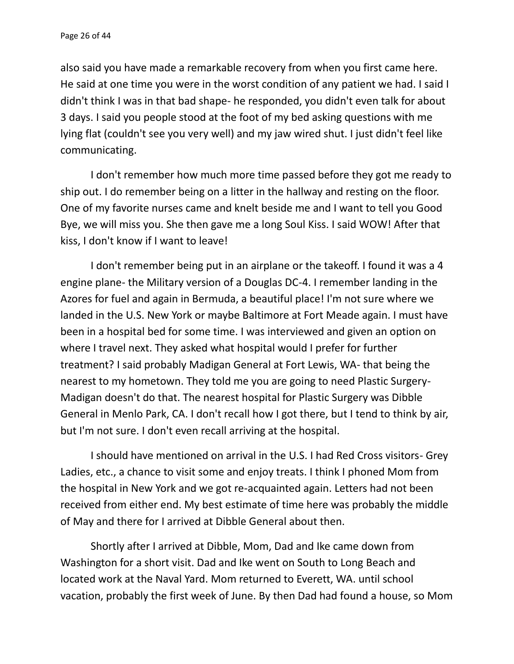also said you have made a remarkable recovery from when you first came here. He said at one time you were in the worst condition of any patient we had. I said I didn't think I was in that bad shape- he responded, you didn't even talk for about 3 days. I said you people stood at the foot of my bed asking questions with me lying flat (couldn't see you very well) and my jaw wired shut. I just didn't feel like communicating.

I don't remember how much more time passed before they got me ready to ship out. I do remember being on a litter in the hallway and resting on the floor. One of my favorite nurses came and knelt beside me and I want to tell you Good Bye, we will miss you. She then gave me a long Soul Kiss. I said WOW! After that kiss, I don't know if I want to leave!

I don't remember being put in an airplane or the takeoff. I found it was a 4 engine plane- the Military version of a Douglas DC-4. I remember landing in the Azores for fuel and again in Bermuda, a beautiful place! I'm not sure where we landed in the U.S. New York or maybe Baltimore at Fort Meade again. I must have been in a hospital bed for some time. I was interviewed and given an option on where I travel next. They asked what hospital would I prefer for further treatment? I said probably Madigan General at Fort Lewis, WA- that being the nearest to my hometown. They told me you are going to need Plastic Surgery- Madigan doesn't do that. The nearest hospital for Plastic Surgery was Dibble General in Menlo Park, CA. I don't recall how I got there, but I tend to think by air, but I'm not sure. I don't even recall arriving at the hospital.

I should have mentioned on arrival in the U.S. I had Red Cross visitors- Grey Ladies, etc., a chance to visit some and enjoy treats. I think I phoned Mom from the hospital in New York and we got re-acquainted again. Letters had not been received from either end. My best estimate of time here was probably the middle of May and there for I arrived at Dibble General about then.

Shortly after I arrived at Dibble, Mom, Dad and Ike came down from Washington for a short visit. Dad and Ike went on South to Long Beach and located work at the Naval Yard. Mom returned to Everett, WA. until school vacation, probably the first week of June. By then Dad had found a house, so Mom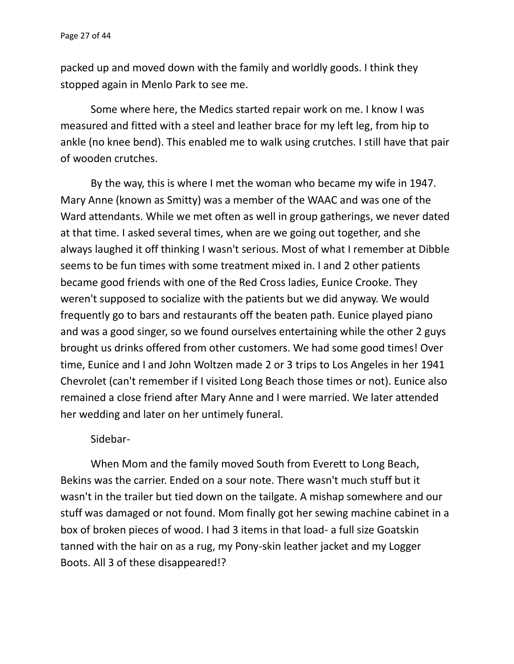packed up and moved down with the family and worldly goods. I think they stopped again in Menlo Park to see me.

Some where here, the Medics started repair work on me. I know I was measured and fitted with a steel and leather brace for my left leg, from hip to ankle (no knee bend). This enabled me to walk using crutches. I still have that pair of wooden crutches.

By the way, this is where I met the woman who became my wife in 1947. Mary Anne (known as Smitty) was a member of the WAAC and was one of the Ward attendants. While we met often as well in group gatherings, we never dated at that time. I asked several times, when are we going out together, and she always laughed it off thinking I wasn't serious. Most of what I remember at Dibble seems to be fun times with some treatment mixed in. I and 2 other patients became good friends with one of the Red Cross ladies, Eunice Crooke. They weren't supposed to socialize with the patients but we did anyway. We would frequently go to bars and restaurants off the beaten path. Eunice played piano and was a good singer, so we found ourselves entertaining while the other 2 guys brought us drinks offered from other customers. We had some good times! Over time, Eunice and I and John Woltzen made 2 or 3 trips to Los Angeles in her 1941 Chevrolet (can't remember if I visited Long Beach those times or not). Eunice also remained a close friend after Mary Anne and I were married. We later attended her wedding and later on her untimely funeral.

## Sidebar-

When Mom and the family moved South from Everett to Long Beach, Bekins was the carrier. Ended on a sour note. There wasn't much stuff but it wasn't in the trailer but tied down on the tailgate. A mishap somewhere and our stuff was damaged or not found. Mom finally got her sewing machine cabinet in a box of broken pieces of wood. I had 3 items in that load- a full size Goatskin tanned with the hair on as a rug, my Pony-skin leather jacket and my Logger Boots. All 3 of these disappeared!?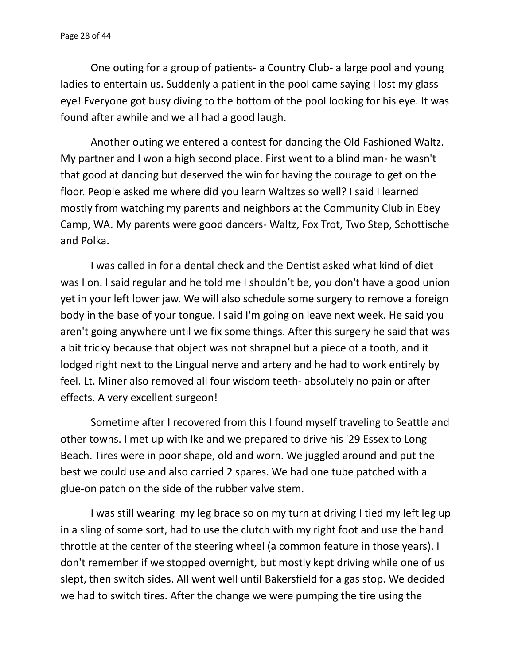One outing for a group of patients- a Country Club- a large pool and young ladies to entertain us. Suddenly a patient in the pool came saying I lost my glass eye! Everyone got busy diving to the bottom of the pool looking for his eye. It was found after awhile and we all had a good laugh.

Another outing we entered a contest for dancing the Old Fashioned Waltz. My partner and I won a high second place. First went to a blind man- he wasn't that good at dancing but deserved the win for having the courage to get on the floor. People asked me where did you learn Waltzes so well? I said I learned mostly from watching my parents and neighbors at the Community Club in Ebey Camp, WA. My parents were good dancers- Waltz, Fox Trot, Two Step, Schottische and Polka.

I was called in for a dental check and the Dentist asked what kind of diet was I on. I said regular and he told me I shouldn't be, you don't have a good union yet in your left lower jaw. We will also schedule some surgery to remove a foreign body in the base of your tongue. I said I'm going on leave next week. He said you aren't going anywhere until we fix some things. After this surgery he said that was a bit tricky because that object was not shrapnel but a piece of a tooth, and it lodged right next to the Lingual nerve and artery and he had to work entirely by feel. Lt. Miner also removed all four wisdom teeth- absolutely no pain or after effects. A very excellent surgeon!

Sometime after I recovered from this I found myself traveling to Seattle and other towns. I met up with Ike and we prepared to drive his '29 Essex to Long Beach. Tires were in poor shape, old and worn. We juggled around and put the best we could use and also carried 2 spares. We had one tube patched with a glue-on patch on the side of the rubber valve stem.

I was still wearing my leg brace so on my turn at driving I tied my left leg up in a sling of some sort, had to use the clutch with my right foot and use the hand throttle at the center of the steering wheel (a common feature in those years). I don't remember if we stopped overnight, but mostly kept driving while one of us slept, then switch sides. All went well until Bakersfield for a gas stop. We decided we had to switch tires. After the change we were pumping the tire using the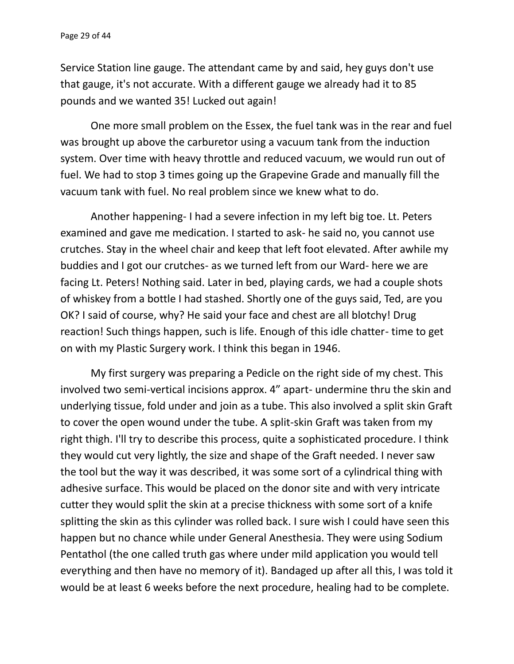Service Station line gauge. The attendant came by and said, hey guys don't use that gauge, it's not accurate. With a different gauge we already had it to 85 pounds and we wanted 35! Lucked out again!

One more small problem on the Essex, the fuel tank was in the rear and fuel was brought up above the carburetor using a vacuum tank from the induction system. Over time with heavy throttle and reduced vacuum, we would run out of fuel. We had to stop 3 times going up the Grapevine Grade and manually fill the vacuum tank with fuel. No real problem since we knew what to do.

Another happening- I had a severe infection in my left big toe. Lt. Peters examined and gave me medication. I started to ask- he said no, you cannot use crutches. Stay in the wheel chair and keep that left foot elevated. After awhile my buddies and I got our crutches- as we turned left from our Ward- here we are facing Lt. Peters! Nothing said. Later in bed, playing cards, we had a couple shots of whiskey from a bottle I had stashed. Shortly one of the guys said, Ted, are you OK? I said of course, why? He said your face and chest are all blotchy! Drug reaction! Such things happen, such is life. Enough of this idle chatter- time to get on with my Plastic Surgery work. I think this began in 1946.

My first surgery was preparing a Pedicle on the right side of my chest. This involved two semi-vertical incisions approx. 4" apart- undermine thru the skin and underlying tissue, fold under and join as a tube. This also involved a split skin Graft to cover the open wound under the tube. A split-skin Graft was taken from my right thigh. I'll try to describe this process, quite a sophisticated procedure. I think they would cut very lightly, the size and shape of the Graft needed. I never saw the tool but the way it was described, it was some sort of a cylindrical thing with adhesive surface. This would be placed on the donor site and with very intricate cutter they would split the skin at a precise thickness with some sort of a knife splitting the skin as this cylinder was rolled back. I sure wish I could have seen this happen but no chance while under General Anesthesia. They were using Sodium Pentathol (the one called truth gas where under mild application you would tell everything and then have no memory of it). Bandaged up after all this, I was told it would be at least 6 weeks before the next procedure, healing had to be complete.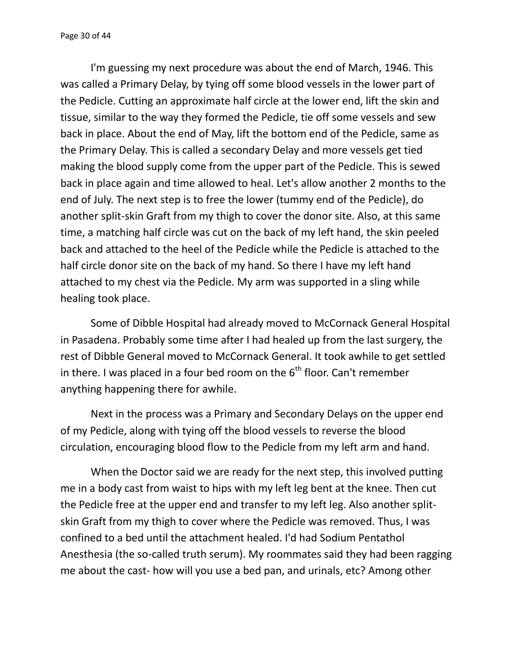I'm guessing my next procedure was about the end of March, 1946. This was called a Primary Delay, by tying off some blood vessels in the lower part of the Pedicle. Cutting an approximate half circle at the lower end, lift the skin and tissue, similar to the way they formed the Pedicle, tie off some vessels and sew back in place. About the end of May, lift the bottom end of the Pedicle, same as the Primary Delay. This is called a secondary Delay and more vessels get tied making the blood supply come from the upper part of the Pedicle. This is sewed back in place again and time allowed to heal. Let's allow another 2 months to the end of July. The next step is to free the lower (tummy end of the Pedicle), do another split-skin Graft from my thigh to cover the donor site. Also, at this same time, a matching half circle was cut on the back of my left hand, the skin peeled back and attached to the heel of the Pedicle while the Pedicle is attached to the half circle donor site on the back of my hand. So there I have my left hand attached to my chest via the Pedicle. My arm was supported in a sling while healing took place.

Some of Dibble Hospital had already moved to McCornack General Hospital in Pasadena. Probably some time after I had healed up from the last surgery, the rest of Dibble General moved to McCornack General. It took awhile to get settled in there. I was placed in a four bed room on the  $6<sup>th</sup>$  floor. Can't remember anything happening there for awhile.

Next in the process was a Primary and Secondary Delays on the upper end of my Pedicle, along with tying off the blood vessels to reverse the blood circulation, encouraging blood flow to the Pedicle from my left arm and hand.

When the Doctor said we are ready for the next step, this involved putting me in a body cast from waist to hips with my left leg bent at the knee. Then cut the Pedicle free at the upper end and transfer to my left leg. Also another split skin Graft from my thigh to cover where the Pedicle was removed. Thus, I was confined to a bed until the attachment healed. I'd had Sodium Pentathol Anesthesia (the so-called truth serum). My roommates said they had been ragging me about the cast- how will you use a bed pan, and urinals, etc? Among other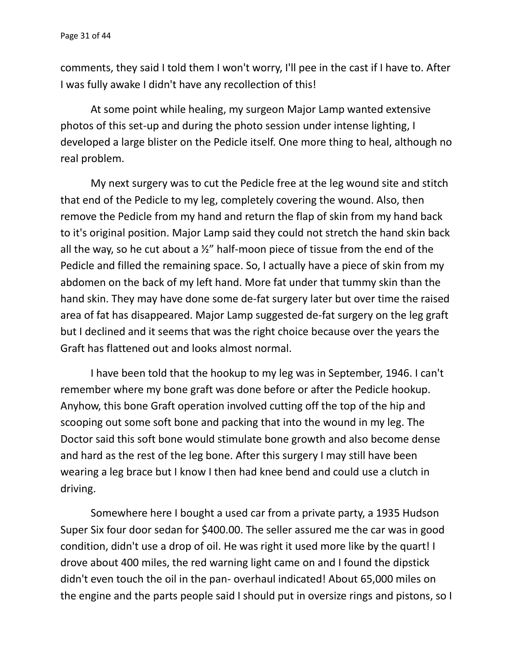comments, they said I told them I won't worry, I'll pee in the cast if I have to. After I was fully awake I didn't have any recollection of this!

At some point while healing, my surgeon Major Lamp wanted extensive photos of this set-up and during the photo session under intense lighting, I developed a large blister on the Pedicle itself. One more thing to heal, although no real problem.

My next surgery was to cut the Pedicle free at the leg wound site and stitch that end of the Pedicle to my leg, completely covering the wound. Also, then remove the Pedicle from my hand and return the flap of skin from my hand back to it's original position. Major Lamp said they could not stretch the hand skin back all the way, so he cut about a  $\frac{1}{2}$ " half-moon piece of tissue from the end of the Pedicle and filled the remaining space. So, I actually have a piece of skin from my abdomen on the back of my left hand. More fat under that tummy skin than the hand skin. They may have done some de-fat surgery later but over time the raised area of fat has disappeared. Major Lamp suggested de-fat surgery on the leg graft but I declined and it seems that was the right choice because over the years the Graft has flattened out and looks almost normal.

I have been told that the hookup to my leg was in September, 1946. I can't remember where my bone graft was done before or after the Pedicle hookup. Anyhow, this bone Graft operation involved cutting off the top of the hip and scooping out some soft bone and packing that into the wound in my leg. The Doctor said this soft bone would stimulate bone growth and also become dense and hard as the rest of the leg bone. After this surgery I may still have been wearing a leg brace but I know I then had knee bend and could use a clutch in driving.

Somewhere here I bought a used car from a private party, a 1935 Hudson Super Six four door sedan for \$400.00. The seller assured me the car was in good condition, didn't use a drop of oil. He was right it used more like by the quart! I drove about 400 miles, the red warning light came on and I found the dipstick didn't even touch the oil in the pan- overhaul indicated! About 65,000 miles on the engine and the parts people said I should put in oversize rings and pistons, so I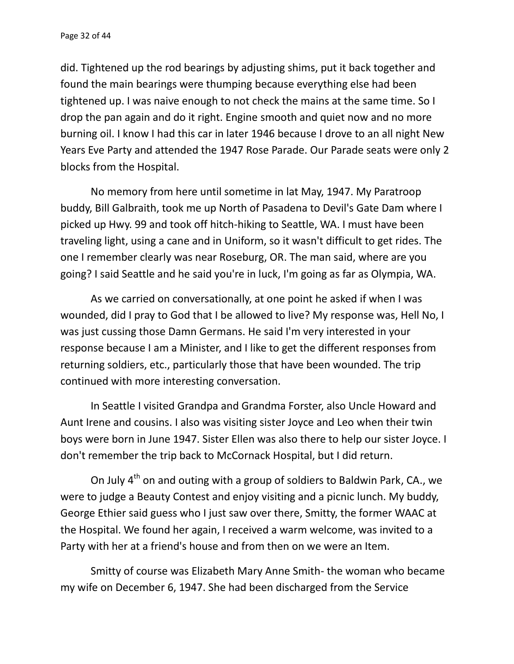did. Tightened up the rod bearings by adjusting shims, put it back together and found the main bearings were thumping because everything else had been tightened up. I was naive enough to not check the mains at the same time. So I drop the pan again and do it right. Engine smooth and quiet now and no more burning oil. I know I had this car in later 1946 because I drove to an all night New Years Eve Party and attended the 1947 Rose Parade. Our Parade seats were only 2 blocks from the Hospital.

No memory from here until sometime in lat May, 1947. My Paratroop buddy, Bill Galbraith, took me up North of Pasadena to Devil's Gate Dam where I picked up Hwy. 99 and took off hitch-hiking to Seattle, WA. I must have been traveling light, using a cane and in Uniform, so it wasn't difficult to get rides. The one I remember clearly was near Roseburg, OR. The man said, where are you going? I said Seattle and he said you're in luck, I'm going as far as Olympia, WA.

As we carried on conversationally, at one point he asked if when I was wounded, did I pray to God that I be allowed to live? My response was, Hell No, I was just cussing those Damn Germans. He said I'm very interested in your response because I am a Minister, and I like to get the different responses from returning soldiers, etc., particularly those that have been wounded. The trip continued with more interesting conversation.

In Seattle I visited Grandpa and Grandma Forster, also Uncle Howard and Aunt Irene and cousins. I also was visiting sister Joyce and Leo when their twin boys were born in June 1947. Sister Ellen was also there to help our sister Joyce. I don't remember the trip back to McCornack Hospital, but I did return.

On July  $4<sup>th</sup>$  on and outing with a group of soldiers to Baldwin Park, CA., we were to judge a Beauty Contest and enjoy visiting and a picnic lunch. My buddy, George Ethier said guess who I just saw over there, Smitty, the former WAAC at the Hospital. We found her again, I received a warm welcome, was invited to a Party with her at a friend's house and from then on we were an Item.

Smitty of course was Elizabeth Mary Anne Smith- the woman who became my wife on December 6, 1947. She had been discharged from the Service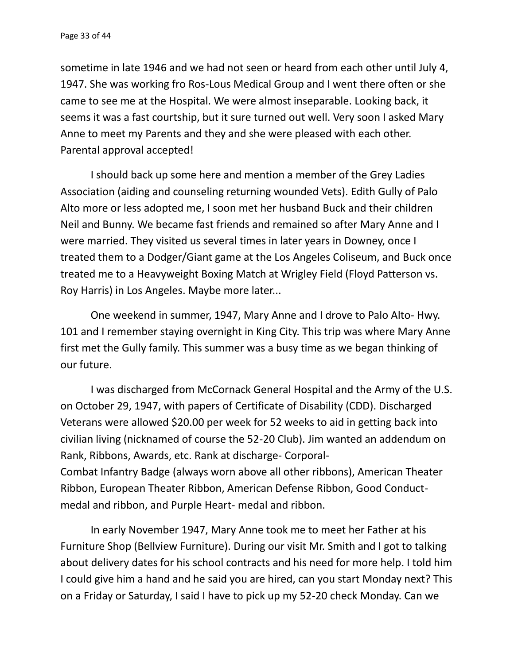sometime in late 1946 and we had not seen or heard from each other until July 4, 1947. She was working fro Ros-Lous Medical Group and I went there often or she came to see me at the Hospital. We were almost inseparable. Looking back, it seems it was a fast courtship, but it sure turned out well. Very soon I asked Mary Anne to meet my Parents and they and she were pleased with each other. Parental approval accepted!

I should back up some here and mention a member of the Grey Ladies Association (aiding and counseling returning wounded Vets). Edith Gully of Palo Alto more or less adopted me, I soon met her husband Buck and their children Neil and Bunny. We became fast friends and remained so after Mary Anne and I were married. They visited us several times in later years in Downey, once I treated them to a Dodger/Giant game at the Los Angeles Coliseum, and Buck once treated me to a Heavyweight Boxing Match at Wrigley Field (Floyd Patterson vs. Roy Harris) in Los Angeles. Maybe more later...

One weekend in summer, 1947, Mary Anne and I drove to Palo Alto- Hwy. 101 and I remember staying overnight in King City. This trip was where Mary Anne first met the Gully family. This summer was a busy time as we began thinking of our future.

I was discharged from McCornack General Hospital and the Army of the U.S. on October 29, 1947, with papers of Certificate of Disability (CDD). Discharged Veterans were allowed \$20.00 per week for 52 weeks to aid in getting back into civilian living (nicknamed of course the 52-20 Club). Jim wanted an addendum on Rank, Ribbons, Awards, etc. Rank at discharge- Corporal- Combat Infantry Badge (always worn above all other ribbons), American Theater Ribbon, European Theater Ribbon, American Defense Ribbon, Good Conduct medal and ribbon, and Purple Heart- medal and ribbon.

In early November 1947, Mary Anne took me to meet her Father at his Furniture Shop (Bellview Furniture). During our visit Mr. Smith and I got to talking about delivery dates for his school contracts and his need for more help. I told him I could give him a hand and he said you are hired, can you start Monday next? This on a Friday or Saturday, I said I have to pick up my 52-20 check Monday. Can we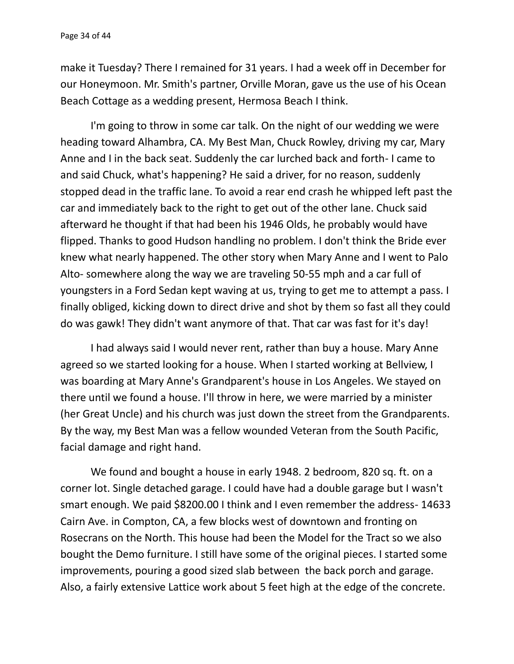make it Tuesday? There I remained for 31 years. I had a week off in December for our Honeymoon. Mr. Smith's partner, Orville Moran, gave us the use of his Ocean Beach Cottage as a wedding present, Hermosa Beach I think.

I'm going to throw in some car talk. On the night of our wedding we were heading toward Alhambra, CA. My Best Man, Chuck Rowley, driving my car, Mary Anne and I in the back seat. Suddenly the car lurched back and forth- I came to and said Chuck, what's happening? He said a driver, for no reason, suddenly stopped dead in the traffic lane. To avoid a rear end crash he whipped left past the car and immediately back to the right to get out of the other lane. Chuck said afterward he thought if that had been his 1946 Olds, he probably would have flipped. Thanks to good Hudson handling no problem. I don't think the Bride ever knew what nearly happened. The other story when Mary Anne and I went to Palo Alto- somewhere along the way we are traveling 50-55 mph and a car full of youngsters in a Ford Sedan kept waving at us, trying to get me to attempt a pass. I finally obliged, kicking down to direct drive and shot by them so fast all they could do was gawk! They didn't want anymore of that. That car was fast for it's day!

I had always said I would never rent, rather than buy a house. Mary Anne agreed so we started looking for a house. When I started working at Bellview, I was boarding at Mary Anne's Grandparent's house in Los Angeles. We stayed on there until we found a house. I'll throw in here, we were married by a minister (her Great Uncle) and his church was just down the street from the Grandparents. By the way, my Best Man was a fellow wounded Veteran from the South Pacific, facial damage and right hand.

We found and bought a house in early 1948. 2 bedroom, 820 sq. ft. on a corner lot. Single detached garage. I could have had a double garage but I wasn't smart enough. We paid \$8200.00 I think and I even remember the address- 14633 Cairn Ave. in Compton, CA, a few blocks west of downtown and fronting on Rosecrans on the North. This house had been the Model for the Tract so we also bought the Demo furniture. I still have some of the original pieces. I started some improvements, pouring a good sized slab between the back porch and garage. Also, a fairly extensive Lattice work about 5 feet high at the edge of the concrete.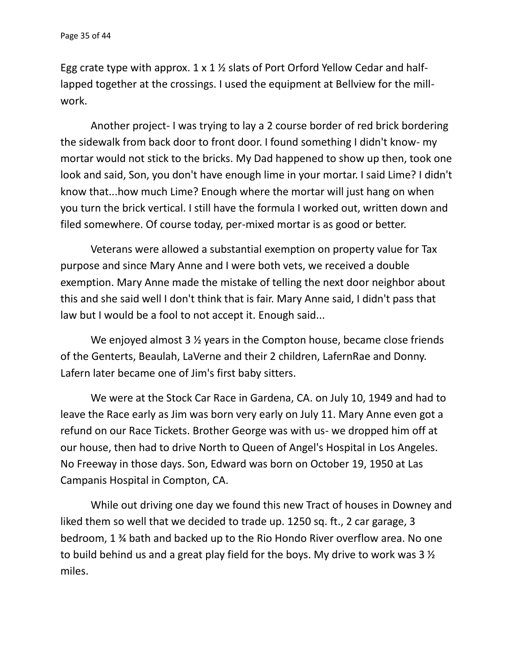Egg crate type with approx.  $1 \times 1$  % slats of Port Orford Yellow Cedar and halflapped together at the crossings. I used the equipment at Bellview for the mill work.

Another project- I was trying to lay a 2 course border of red brick bordering the sidewalk from back door to front door. I found something I didn't know- my mortar would not stick to the bricks. My Dad happened to show up then, took one look and said, Son, you don't have enough lime in your mortar. I said Lime? I didn't know that...how much Lime? Enough where the mortar will just hang on when you turn the brick vertical. I still have the formula I worked out, written down and filed somewhere. Of course today, per-mixed mortar is as good or better.

Veterans were allowed a substantial exemption on property value for Tax purpose and since Mary Anne and I were both vets, we received a double exemption. Mary Anne made the mistake of telling the next door neighbor about this and she said well I don't think that is fair. Mary Anne said, I didn't pass that law but I would be a fool to not accept it. Enough said...

We enjoyed almost 3 <sup>1/2</sup> years in the Compton house, became close friends of the Genterts, Beaulah, LaVerne and their 2 children, LafernRae and Donny. Lafern later became one of Jim's first baby sitters.

We were at the Stock Car Race in Gardena, CA. on July 10, 1949 and had to leave the Race early as Jim was born very early on July 11. Mary Anne even got a refund on our Race Tickets. Brother George was with us- we dropped him off at our house, then had to drive North to Queen of Angel's Hospital in Los Angeles. No Freeway in those days. Son, Edward was born on October 19, 1950 at Las Campanis Hospital in Compton, CA.

While out driving one day we found this new Tract of houses in Downey and liked them so well that we decided to trade up. 1250 sq. ft., 2 car garage, 3 bedroom, 1 ¾ bath and backed up to the Rio Hondo River overflow area. No one to build behind us and a great play field for the boys. My drive to work was 3 ½ miles.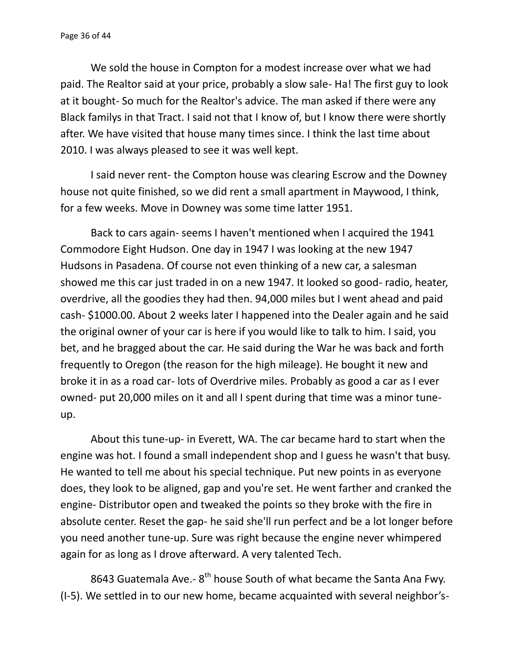We sold the house in Compton for a modest increase over what we had paid. The Realtor said at your price, probably a slow sale- Ha! The first guy to look at it bought- So much for the Realtor's advice. The man asked if there were any Black familys in that Tract. I said not that I know of, but I know there were shortly after. We have visited that house many times since. I think the last time about 2010. I was always pleased to see it was well kept.

I said never rent- the Compton house was clearing Escrow and the Downey house not quite finished, so we did rent a small apartment in Maywood, I think, for a few weeks. Move in Downey was some time latter 1951.

Back to cars again- seems I haven't mentioned when I acquired the 1941 Commodore Eight Hudson. One day in 1947 I was looking at the new 1947 Hudsons in Pasadena. Of course not even thinking of a new car, a salesman showed me this car just traded in on a new 1947. It looked so good- radio, heater, overdrive, all the goodies they had then. 94,000 miles but I went ahead and paid cash- \$1000.00. About 2 weeks later I happened into the Dealer again and he said the original owner of your car is here if you would like to talk to him. I said, you bet, and he bragged about the car. He said during the War he was back and forth frequently to Oregon (the reason for the high mileage). He bought it new and broke it in as a road car- lots of Overdrive miles. Probably as good a car as I ever owned- put 20,000 miles on it and all I spent during that time was a minor tune up.

About this tune-up- in Everett, WA. The car became hard to start when the engine was hot. I found a small independent shop and I guess he wasn't that busy. He wanted to tell me about his special technique. Put new points in as everyone does, they look to be aligned, gap and you're set. He went farther and cranked the engine- Distributor open and tweaked the points so they broke with the fire in absolute center. Reset the gap- he said she'll run perfect and be a lot longer before you need another tune-up. Sure was right because the engine never whimpered again for as long as I drove afterward. A very talented Tech.

8643 Guatemala Ave.- 8<sup>th</sup> house South of what became the Santa Ana Fwy. (I-5). We settled in to our new home, became acquainted with several neighbor's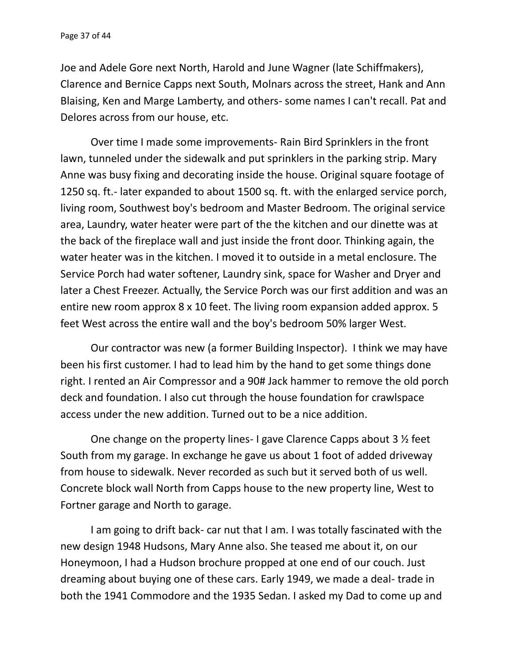Joe and Adele Gore next North, Harold and June Wagner (late Schiffmakers), Clarence and Bernice Capps next South, Molnars across the street, Hank and Ann Blaising, Ken and Marge Lamberty, and others- some names I can't recall. Pat and Delores across from our house, etc.

Over time I made some improvements- Rain Bird Sprinklers in the front lawn, tunneled under the sidewalk and put sprinklers in the parking strip. Mary Anne was busy fixing and decorating inside the house. Original square footage of 1250 sq. ft.- later expanded to about 1500 sq. ft. with the enlarged service porch, living room, Southwest boy's bedroom and Master Bedroom. The original service area, Laundry, water heater were part of the the kitchen and our dinette was at the back of the fireplace wall and just inside the front door. Thinking again, the water heater was in the kitchen. I moved it to outside in a metal enclosure. The Service Porch had water softener, Laundry sink, space for Washer and Dryer and later a Chest Freezer. Actually, the Service Porch was our first addition and was an entire new room approx 8 x 10 feet. The living room expansion added approx. 5 feet West across the entire wall and the boy's bedroom 50% larger West.

Our contractor was new (a former Building Inspector). I think we may have been his first customer. I had to lead him by the hand to get some things done right. I rented an Air Compressor and a 90# Jack hammer to remove the old porch deck and foundation. I also cut through the house foundation for crawlspace access under the new addition. Turned out to be a nice addition.

One change on the property lines- I gave Clarence Capps about 3 ½ feet South from my garage. In exchange he gave us about 1 foot of added driveway from house to sidewalk. Never recorded as such but it served both of us well. Concrete block wall North from Capps house to the new property line, West to Fortner garage and North to garage.

I am going to drift back- car nut that I am. I was totally fascinated with the new design 1948 Hudsons, Mary Anne also. She teased me about it, on our Honeymoon, I had a Hudson brochure propped at one end of our couch. Just dreaming about buying one of these cars. Early 1949, we made a deal- trade in both the 1941 Commodore and the 1935 Sedan. I asked my Dad to come up and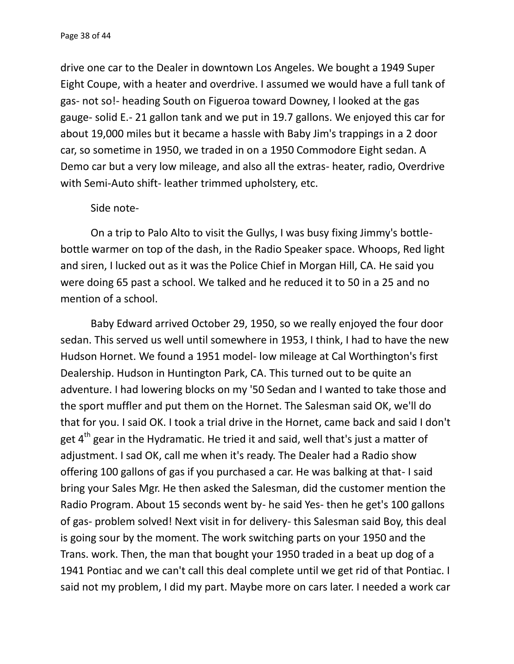drive one car to the Dealer in downtown Los Angeles. We bought a 1949 Super Eight Coupe, with a heater and overdrive. I assumed we would have a full tank of gas- not so!- heading South on Figueroa toward Downey, I looked at the gas gauge- solid E.- 21 gallon tank and we put in 19.7 gallons. We enjoyed this car for about 19,000 miles but it became a hassle with Baby Jim's trappings in a 2 door car, so sometime in 1950, we traded in on a 1950 Commodore Eight sedan. A Demo car but a very low mileage, and also all the extras- heater, radio, Overdrive with Semi-Auto shift- leather trimmed upholstery, etc.

## Side note-

On a trip to Palo Alto to visit the Gullys, I was busy fixing Jimmy's bottle bottle warmer on top of the dash, in the Radio Speaker space. Whoops, Red light and siren, I lucked out as it was the Police Chief in Morgan Hill, CA. He said you were doing 65 past a school. We talked and he reduced it to 50 in a 25 and no mention of a school.

Baby Edward arrived October 29, 1950, so we really enjoyed the four door sedan. This served us well until somewhere in 1953, I think, I had to have the new Hudson Hornet. We found a 1951 model- low mileage at Cal Worthington's first Dealership. Hudson in Huntington Park, CA. This turned out to be quite an adventure. I had lowering blocks on my '50 Sedan and I wanted to take those and the sport muffler and put them on the Hornet. The Salesman said OK, we'll do that for you. I said OK. I took a trial drive in the Hornet, came back and said I don't get 4<sup>th</sup> gear in the Hydramatic. He tried it and said, well that's just a matter of adjustment. I sad OK, call me when it's ready. The Dealer had a Radio show offering 100 gallons of gas if you purchased a car. He was balking at that- I said bring your Sales Mgr. He then asked the Salesman, did the customer mention the Radio Program. About 15 seconds went by- he said Yes- then he get's 100 gallons of gas- problem solved! Next visit in for delivery- this Salesman said Boy, this deal is going sour by the moment. The work switching parts on your 1950 and the Trans. work. Then, the man that bought your 1950 traded in a beat up dog of a 1941 Pontiac and we can't call this deal complete until we get rid of that Pontiac. I said not my problem, I did my part. Maybe more on cars later. I needed a work car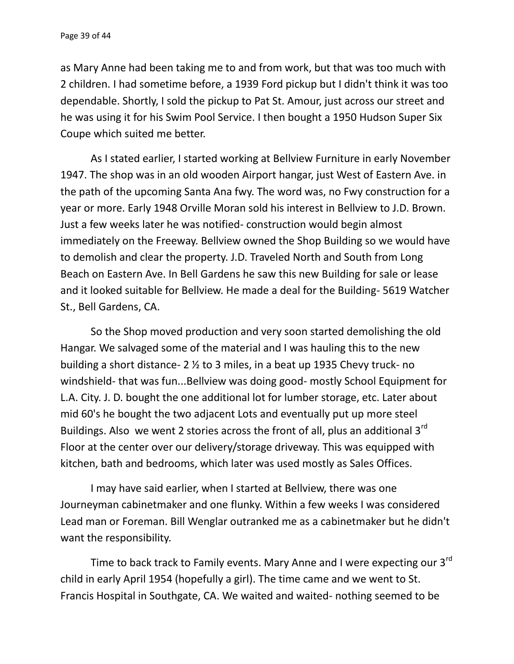as Mary Anne had been taking me to and from work, but that was too much with 2 children. I had sometime before, a 1939 Ford pickup but I didn't think it was too dependable. Shortly, I sold the pickup to Pat St. Amour, just across our street and he was using it for his Swim Pool Service. I then bought a 1950 Hudson Super Six Coupe which suited me better.

As I stated earlier, I started working at Bellview Furniture in early November 1947. The shop was in an old wooden Airport hangar, just West of Eastern Ave. in the path of the upcoming Santa Ana fwy. The word was, no Fwy construction for a year or more. Early 1948 Orville Moran sold his interest in Bellview to J.D. Brown. Just a few weeks later he was notified- construction would begin almost immediately on the Freeway. Bellview owned the Shop Building so we would have to demolish and clear the property. J.D. Traveled North and South from Long Beach on Eastern Ave. In Bell Gardens he saw this new Building for sale or lease and it looked suitable for Bellview. He made a deal for the Building- 5619 Watcher St., Bell Gardens, CA.

So the Shop moved production and very soon started demolishing the old Hangar. We salvaged some of the material and I was hauling this to the new building a short distance- 2 ½ to 3 miles, in a beat up 1935 Chevy truck- no windshield- that was fun...Bellview was doing good- mostly School Equipment for L.A. City. J. D. bought the one additional lot for lumber storage, etc. Later about mid 60's he bought the two adjacent Lots and eventually put up more steel Buildings. Also we went 2 stories across the front of all, plus an additional  $3^{rd}$ Floor at the center over our delivery/storage driveway. This was equipped with kitchen, bath and bedrooms, which later was used mostly as Sales Offices.

I may have said earlier, when I started at Bellview, there was one Journeyman cabinetmaker and one flunky. Within a few weeks I was considered Lead man or Foreman. Bill Wenglar outranked me as a cabinetmaker but he didn't want the responsibility.

Time to back track to Family events. Mary Anne and I were expecting our 3<sup>rd</sup> child in early April 1954 (hopefully a girl). The time came and we went to St. Francis Hospital in Southgate, CA. We waited and waited- nothing seemed to be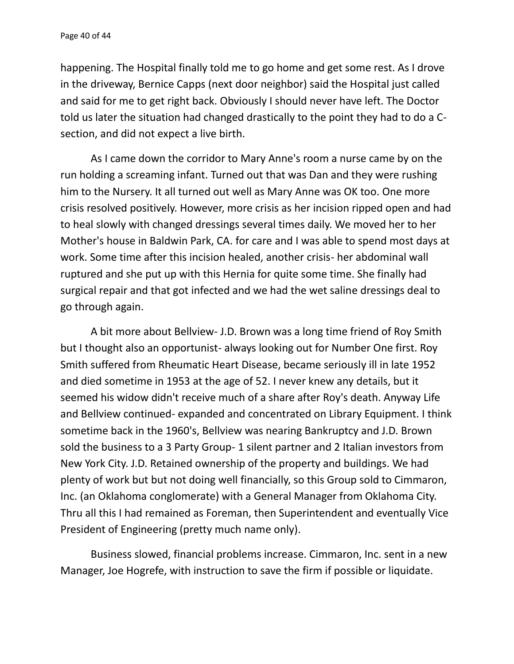happening. The Hospital finally told me to go home and get some rest. As I drove in the driveway, Bernice Capps (next door neighbor) said the Hospital just called and said for me to get right back. Obviously I should never have left. The Doctor told us later the situation had changed drastically to the point they had to do a C section, and did not expect a live birth.

As I came down the corridor to Mary Anne's room a nurse came by on the run holding a screaming infant. Turned out that was Dan and they were rushing him to the Nursery. It all turned out well as Mary Anne was OK too. One more crisis resolved positively. However, more crisis as her incision ripped open and had to heal slowly with changed dressings several times daily. We moved her to her Mother's house in Baldwin Park, CA. for care and I was able to spend most days at work. Some time after this incision healed, another crisis- her abdominal wall ruptured and she put up with this Hernia for quite some time. She finally had surgical repair and that got infected and we had the wet saline dressings deal to go through again.

A bit more about Bellview- J.D. Brown was a long time friend of Roy Smith but I thought also an opportunist- always looking out for Number One first. Roy Smith suffered from Rheumatic Heart Disease, became seriously ill in late 1952 and died sometime in 1953 at the age of 52. I never knew any details, but it seemed his widow didn't receive much of a share after Roy's death. Anyway Life and Bellview continued- expanded and concentrated on Library Equipment. I think sometime back in the 1960's, Bellview was nearing Bankruptcy and J.D. Brown sold the business to a 3 Party Group- 1 silent partner and 2 Italian investors from New York City. J.D. Retained ownership of the property and buildings. We had plenty of work but but not doing well financially, so this Group sold to Cimmaron, Inc. (an Oklahoma conglomerate) with a General Manager from Oklahoma City. Thru all this I had remained as Foreman, then Superintendent and eventually Vice President of Engineering (pretty much name only).

Business slowed, financial problems increase. Cimmaron, Inc. sent in a new Manager, Joe Hogrefe, with instruction to save the firm if possible or liquidate.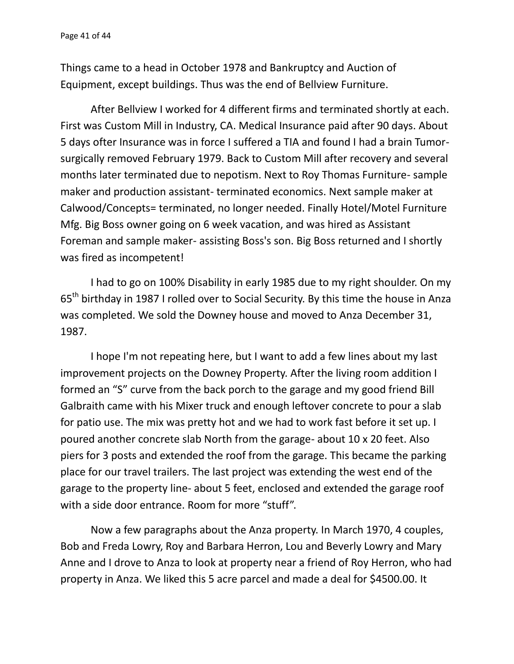Things came to a head in October 1978 and Bankruptcy and Auction of Equipment, except buildings. Thus was the end of Bellview Furniture.

After Bellview I worked for 4 different firms and terminated shortly at each. First was Custom Mill in Industry, CA. Medical Insurance paid after 90 days. About 5 days ofter Insurance was in force I suffered a TIA and found I had a brain Tumor surgically removed February 1979. Back to Custom Mill after recovery and several months later terminated due to nepotism. Next to Roy Thomas Furniture- sample maker and production assistant- terminated economics. Next sample maker at Calwood/Concepts= terminated, no longer needed. Finally Hotel/Motel Furniture Mfg. Big Boss owner going on 6 week vacation, and was hired as Assistant Foreman and sample maker- assisting Boss's son. Big Boss returned and I shortly was fired as incompetent!

I had to go on 100% Disability in early 1985 due to my right shoulder. On my 65<sup>th</sup> birthday in 1987 I rolled over to Social Security. By this time the house in Anza was completed. We sold the Downey house and moved to Anza December 31, 1987.

I hope I'm not repeating here, but I want to add a few lines about my last improvement projects on the Downey Property. After the living room addition I formed an "S" curve from the back porch to the garage and my good friend Bill Galbraith came with his Mixer truck and enough leftover concrete to pour a slab for patio use. The mix was pretty hot and we had to work fast before it set up. I poured another concrete slab North from the garage- about 10 x 20 feet. Also piers for 3 posts and extended the roof from the garage. This became the parking place for our travel trailers. The last project was extending the west end of the garage to the property line- about 5 feet, enclosed and extended the garage roof with a side door entrance. Room for more "stuff".

Now a few paragraphs about the Anza property. In March 1970, 4 couples, Bob and Freda Lowry, Roy and Barbara Herron, Lou and Beverly Lowry and Mary Anne and I drove to Anza to look at property near a friend of Roy Herron, who had property in Anza. We liked this 5 acre parcel and made a deal for \$4500.00. It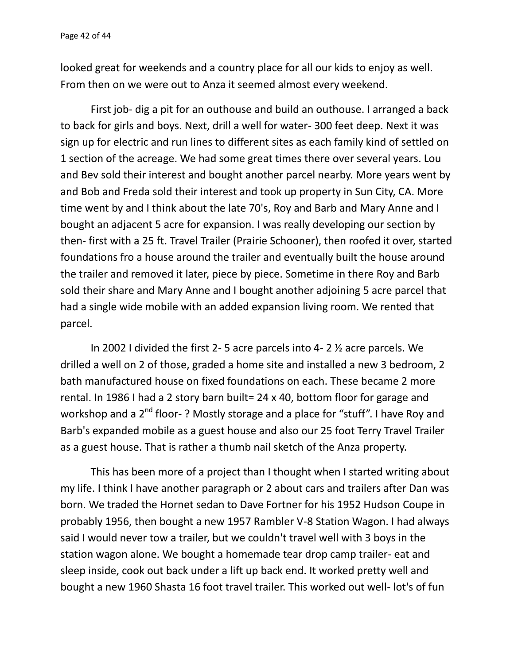looked great for weekends and a country place for all our kids to enjoy as well. From then on we were out to Anza it seemed almost every weekend.

First job- dig a pit for an outhouse and build an outhouse. I arranged a back to back for girls and boys. Next, drill a well for water- 300 feet deep. Next it was sign up for electric and run lines to different sites as each family kind of settled on 1 section of the acreage. We had some great times there over several years. Lou and Bev sold their interest and bought another parcel nearby. More years went by and Bob and Freda sold their interest and took up property in Sun City, CA. More time went by and I think about the late 70's, Roy and Barb and Mary Anne and I bought an adjacent 5 acre for expansion. I was really developing our section by then- first with a 25 ft. Travel Trailer (Prairie Schooner), then roofed it over, started foundations fro a house around the trailer and eventually built the house around the trailer and removed it later, piece by piece. Sometime in there Roy and Barb sold their share and Mary Anne and I bought another adjoining 5 acre parcel that had a single wide mobile with an added expansion living room. We rented that parcel.

In 2002 I divided the first 2- 5 acre parcels into 4- 2 ½ acre parcels. We drilled a well on 2 of those, graded a home site and installed a new 3 bedroom, 2 bath manufactured house on fixed foundations on each. These became 2 more rental. In 1986 I had a 2 story barn built= 24 x 40, bottom floor for garage and workshop and a 2<sup>nd</sup> floor-? Mostly storage and a place for "stuff". I have Roy and Barb's expanded mobile as a guest house and also our 25 foot Terry Travel Trailer as a guest house. That is rather a thumb nail sketch of the Anza property.

This has been more of a project than I thought when I started writing about my life. I think I have another paragraph or 2 about cars and trailers after Dan was born. We traded the Hornet sedan to Dave Fortner for his 1952 Hudson Coupe in probably 1956, then bought a new 1957 Rambler V-8 Station Wagon. I had always said I would never tow a trailer, but we couldn't travel well with 3 boys in the station wagon alone. We bought a homemade tear drop camp trailer- eat and sleep inside, cook out back under a lift up back end. It worked pretty well and bought a new 1960 Shasta 16 foot travel trailer. This worked out well- lot's of fun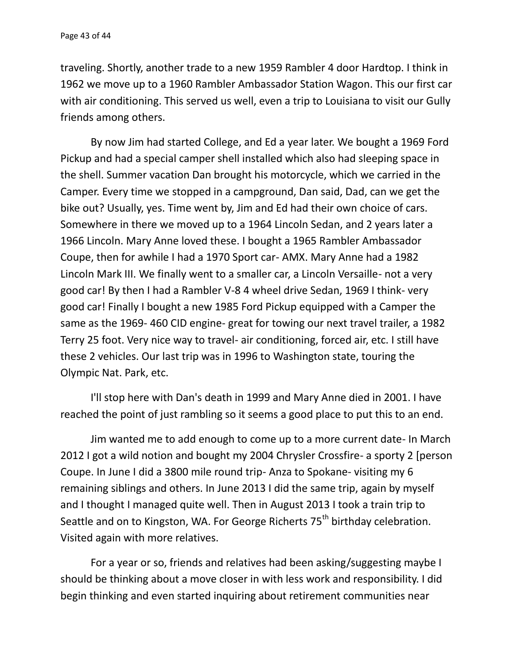traveling. Shortly, another trade to a new 1959 Rambler 4 door Hardtop. I think in 1962 we move up to a 1960 Rambler Ambassador Station Wagon. This our first car with air conditioning. This served us well, even a trip to Louisiana to visit our Gully friends among others.

By now Jim had started College, and Ed a year later. We bought a 1969 Ford Pickup and had a special camper shell installed which also had sleeping space in the shell. Summer vacation Dan brought his motorcycle, which we carried in the Camper. Every time we stopped in a campground, Dan said, Dad, can we get the bike out? Usually, yes. Time went by, Jim and Ed had their own choice of cars. Somewhere in there we moved up to a 1964 Lincoln Sedan, and 2 years later a 1966 Lincoln. Mary Anne loved these. I bought a 1965 Rambler Ambassador Coupe, then for awhile I had a 1970 Sport car- AMX. Mary Anne had a 1982 Lincoln Mark III. We finally went to a smaller car, a Lincoln Versaille- not a very good car! By then I had a Rambler V-8 4 wheel drive Sedan, 1969 I think- very good car! Finally I bought a new 1985 Ford Pickup equipped with a Camper the same as the 1969- 460 CID engine- great for towing our next travel trailer, a 1982 Terry 25 foot. Very nice way to travel- air conditioning, forced air, etc. I still have these 2 vehicles. Our last trip was in 1996 to Washington state, touring the Olympic Nat. Park, etc.

I'll stop here with Dan's death in 1999 and Mary Anne died in 2001. I have reached the point of just rambling so it seems a good place to put this to an end.

Jim wanted me to add enough to come up to a more current date- In March 2012 I got a wild notion and bought my 2004 Chrysler Crossfire- a sporty 2 [person Coupe. In June I did a 3800 mile round trip- Anza to Spokane- visiting my 6 remaining siblings and others. In June 2013 I did the same trip, again by myself and I thought I managed quite well. Then in August 2013 I took a train trip to Seattle and on to Kingston, WA. For George Richerts 75<sup>th</sup> birthday celebration. Visited again with more relatives.

For a year or so, friends and relatives had been asking/suggesting maybe I should be thinking about a move closer in with less work and responsibility. I did begin thinking and even started inquiring about retirement communities near